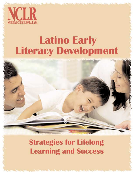

# **Latino Early Literacy Development**



## **Strategies for Lifelong Learning and Success**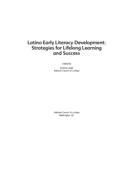## Latino Early Literacy Development: Strategies for Lifelong Learning and Success

Edited By

Antonia Lopez National Council of La Raza

National Council of La Raza Washington, DC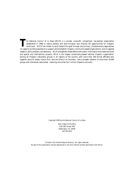The National Council of La Raza (NCLR) is a private, nonprofit, nonpartisan, tax-exempt organization established in 1968 to reduce poverty and discrimination and improve life opportunities for Hispanic Americans. NCLR has established in 1968 to reduce poverty and discrimination and improve life opportunities for Hispanic Americans. NCLR has chosen to work toward this goal through two primary, complementary approaches: (1) capacity-building assistance to support and strengthen Hispanic community-based organizations, and (2) applied research, policy analysis, and advocacy. NCLR strengthens these efforts with public information and media activities and special and international projects. NCLR is the largest constituency-based national Hispanic organization, serving all Hispanic nationality groups in all regions of the country, with more than 300 formal affiliates who together serve 41 states, Puerto Rico, and the District of Columbia - and a broader network of more than 35,000 groups and individuals nationwide - reaching more than four million Hispanics annually.

Copyright 2005 by the National Council of La Raza

Raul Yzaguirre Building 1126 16th Street, NW, Washington, DC 20036 202.785.1670

Printed in the United States of America. All rights reserved. No part of this publication may be reproduced in any form without written permission from NCLR.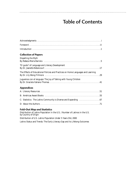## Table of Contents

| <b>Collection of Papers</b>                                                      |
|----------------------------------------------------------------------------------|
| Dispelling the Myth                                                              |
| "El gusto" of Language and Literacy Development                                  |
| The Effects of Educational Policies and Practices on Home Languages and Learning |
| Juguemos con el lenguaje: The Joy of Talking with Young Children                 |
| <b>Appendices</b>                                                                |
|                                                                                  |
|                                                                                  |

C: Statistics: The Latino Community is Diverse and Expanding . . . . . . . . . . . . . . . . . .67 D: About the Authors . . . . . . . . . . . . . . . . . . . . . . . . . . . . . . . . . . . . . . . . . . . . . . . . . . . .71

#### **Fold-Out Map and Statistics**

Distribution of Latino Population in the U.S. / Number of Latinos in the U.S. by Country of Origin

Distribution of U.S. Latino Population Under 5 Years Old, 2000

Latino Status and Trends: The Early Literacy Gap and its Lifelong Outcomes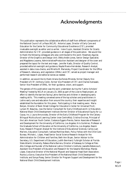## Acknowledgments

This publication represents the collaborative efforts of staff from different components of the National Council of La Raza (NCLR). Antonia Lopez, Director of Early Care and Education for the Center for Community Educational Excellence ( $C^2E^2$ ), provided invaluable oversight as editor and co-writer. Irene Cuyún, Assistant Director for Grants Administration for  $C^2E^2$ , provided guidance in all stages of the publication. We would like to thank the following colleagues who also contributed to this work: Rosemary Aguilar, Director of the Graphics and Design Unit; Ofelia Ardón-Jones, Senior Design Specialist; and Magdalena Lezama, Administrative/Production Assistant and designer of the cover and prepared the layout for the text and maps. Jennifer Kadis, Director of Quality Control, provided editorial oversight and guidance; Nayda Rivera-Hernández, Research Analyst, assisted in data cross-checks; and Mireille M. Mariansky, Project Coordinator for the Office of Research, Advocacy, and Legislation (ORAL) and  $C^2E^2$ , served as project manager and performed research and editorial duties as needed.

In addition, we would like to thank Ariana Quiñones-Miranda, former Deputy Vice President of C'E'; Anthony Colón, former Vice President of C'E'; and Charles Kamasaki, Senior Vice President of ORAL, for their guidance, vision, and support.

The genesis of this publication was the work undertaken during the "Latino Scholars' Meeting" hosted by NCLR on January 23, 2003 as part of the Love to Read project, an effort to identify the barriers facing Latino families and children in developing early reading skills. This meeting convened some of the top scholars and practitioners in Latino early care and education from around the country; their expertise and insight established the foundation for this piece. Participating in that meeting were: Maria Benjan, Director of Bank Street College for Education's Center for Universal Pre-K; Lynson M. Beaulieu, now the Senior Consultant for Early Childhood and K-12 Education, National Black Child Development Institute (former Director of Educational Equity for La Causa, Inc.); Laura Annunziata, Director of the Early Childhood Program for the Calvary Bilingual Multicultural Learning Center (now CentroNía); Cristina Encinas, Principal of the Latin American Youth Center; Costanza Eggers-Pierola, Senior Associate of Research and Development for the University of California, Los Angeles; Kris Gutiérrez, Professor at the Graduate School of Education at the University of California, Los Angeles; Naomi Karp, Research Program Analyst for the Institute of Educational Sciences; Carlos Juan Marrero, Education Consultant; Ivelisse Martínez-Beck, Policy Fellow with the Child Care Bureau; Michale L. López, Head Senior Social Science Research Analyst for the Administration for Children and Families; Beth Ann Bryan, Senior Advisor to the Secretary, U.S. Department of Education; Judith Bernhard, Fulbright Scholar at Florida State Atlantic University; Rebeca María Barrera, Director of Gateway to College at Palo Alto College and founder of the National Latino Children's Institute; Jeanette Betancourt, Assistant Vice President of Education and Research for the Sesame Workshop; Manda López, Executive Director of the National Migrant and Seasonal Head Start Association; Rozita La Gorce, Executive Vice President of the National Black Child Development Institute; and Sonya Posey, Senior Director for Program Support and Development for the National Black Child Development Institute.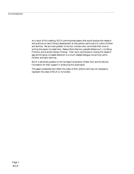As a result of this meeting, NCLR commissioned papers that would analyze the research and practices on early literacy development as they pertain particularly to Latino children and families. We are most grateful to the four scholars who committed their time to writing the pieces included here: Rebeca María Barrera, Jeanette Betancourt, Lily Wong Fillmore, and Graciela Italiano-Thomas. Their work contributes to closing the research gap and bringing increased attention to a much-needed dialogue concerning Latino children and early learning.

NCLR is extremely grateful to the Carnegie Corporation of New York and the Verizon Foundation for their support in producing this publication.

The papers presented here reflect the views of their authors and may not necessarily represent the views of NCLR or its funders.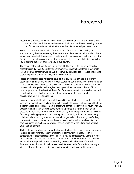## Foreword

"Education is the most important issue to the Latino community." This has been stated, or written, so often that it has almost become a cliché. But it still bears repeating because it is one of those rare statements that reflects an absolute, universally-accepted truth.

Researchers, analysts, and activists from all points of the political and ideological spectrum recognize that increasing the educational achievement of Latino students is the single most important thing we can do to improve the socioeconomic status of Hispanics. Opinion polls of Latinos confirm that the community itself believes that education is the key to opening the doors of opportunity in our country.

The actions of the National Council of La Raza (NCLR) and its 300-plus affiliates also reflect this reality. NCLR's Center for Community Educational Excellence is our single largest program component, and NCLR's community-based affiliate organizations operate education programs more than any other type of activity.

Indeed, this is also a deeply personal issue for me. My parents came to this country speaking little English and with only modest education, but they instilled in their children an unshakeable belief in the power of education. There is no doubt in my mind that my own educational experiences have given me opportunities that were unheard of in my parents' generation. I believe that those of us fortunate enough to have received a sound education have an obligation to do everything in our power to ensure similar opportunities for future generations.

I cannot think of a better place to start than making sure that every Latino starts school with a solid foundation in reading. Research shows that literacy is a fundamental building block for educational success – most of those who cannot read early in life never catch up. Because many Hispanic children come from backgrounds that result in little or no exposure to the written English word, more than any other group Latinos stand to benefit from early reading programs. Unfortunately, our community still lacks access to early childhood education programs, and many such programs lack the capacity to effectively teach reading to our children, in part because insufficient attention has been given to developing instructional approaches and materials tailored to the educational needs of young Latino learners.

That is why we assembled a distinguished group of scholars to help us chart a new course in expanding early literacy opportunities for our community. The result is this compendium of papers addressing the issue from multiple perspectives. Some may find their findings unsettling, even alarming. Others may disagree with some of the opinions expressed. But anyone interested in ensuring the educational success of Hispanic Americans – and that should include everyone interested in the future of our country – will benefit from the expertise, insights, and suggestions included in this volume.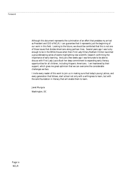Although this document represents the culmination of an effort that predates my arrival as President and CEO of NCLR, I can guarantee that it represents just the beginning of our work in this field. Looking to the future, we should be comforted that this is not one of those issues that divides Americans along partisan lines. Several years ago I was lucky enough to be in the White House when then-First Lady Hillary Rodham Clinton launched a groundbreaking series of events highlighting new scientific research confirming the importance of early learning. And just a few weeks ago I was fortunate to be able to discuss with First Lady Laura Bush her deep commitment to expanding early literacy opportunities for all children, including Hispanic Americans. I am heartened by their support, which gives me great optimism that we can overcome the considerable challenges we face.

I invite every reader of this work to join us in making sure that today's young Latinos, and every generation that follows, start school not only with a willingness to learn, but with the solid foundation in literacy that will enable them to learn.

Janet Murguia Washington, DC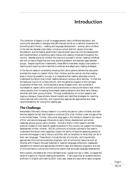## Introduction

This collection of papers is a call to engage parents, early childhood educators, and community advocates in dialogue that affirmatively builds on a national movement for promoting early literacy – reading and language development – among Latino children. In the last two decades most states, numerous school districts, dozens of private foundations, and the federal government have directed resources into the development and implementation of ambitious early literacy and reading initiatives throughout the country. Besides giving all children the chance to succeed in school, reading initiatives also aim to reduce disparities and long-standing academic achievement gaps between groups. Despite significant investments, these efforts have been largely unsuccessful in reaching and inspiring Latino families to embrace and adopt early reading strategies.

In the face of research consistently showing that Latino parents believe that education provides the means to a better life for their children and the central role that reading plays in ensuring academic success, it is imperative that reading advocates come to understand the factors that inhibit reading behaviors among Latino families. To that end, the National Council of La Raza (NCLR), with the generous support of the Carnegie Corporation of New York, commissioned a series of papers from, and convened a roundtable of, expert Latino scholars and practitioners to discuss the factors that inhibit Latino parents from increasing home-based reading behaviors and other early literacy activities with their young children. Through presentations of current research and vigorous dialogue, these scholars shared insights and identified strategies for reaching Latino families with culturally- and linguistically-appropriate approaches and made recommendations for closing the reading gap.

#### **The Challenge**

Remarkably little early literacy research is currently focused on Latino children and their families despite the fact that Hispanics constitute 22% of all children under the age of five in the United States. Further, there exist large gaps in the literature related to the nature of first- and second-language influences on early literacy development and school readiness among young Latino children. Similarly, there is little research and few practical models on how Spanish-speaking parents in this country can support the literacy development of their children. NCLR's community of scholars pointed to the need to understand the *factors that negatively impact the ability of Spanish-speaking parents to promote and engage in early literacy activities, with an emphasis on what they can do in their own language.* These factors include the lack of culturally- and linguisticallyappropriate child care and preschool programs; lack of community resources such as libraries with Hispanic-focused materials or Spanish-language collections; inadequate availability of relevant and appropriate children's radio and television programs; and lack of child and family cultural and community events that stimulate language development.

More recently, the federal No Child Left Behind Act, signed into law in 2002, increased the sense of urgency to improve reading achievement. It set a goal that all students become proficient in English and math by 2014. Each year, states are required to report progress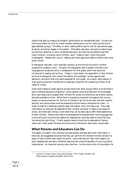toward that goal by measuring students' performance on standardized tests. Schools are held accountable not only for overall student performance, but for reducing the size of gaps between groups. The effect on early reading efforts was to look for educational gaps at earlier and earlier stages in the system. Ultimately, educators and policy-makers have turned their attention to early childhood education and families and determined that many children, including Latino children, aren't "ready to learn" when they enter kindergarten. Researchers concur; reading and math gaps exist before children ever enter public school.

Kindergarten was seen, until relatively recently, as the time during which children prepared for academic work. The goal of kindergarten was to expand children's oral language and vocabulary skills in preparation for first grade, when they would be introduced to reading and writing. Today, in most states, the expectation is that children arrive at kindergarten with a basic foundation of knowledge, "school-appropriate" behaviors, and skills that once were expected for first grade. As a result, participation in high-quality preschool has become increasingly important for preparing children to be ready for school.

Given that Hispanics under age five are less likely than other groups (20%) to be enrolled in early childhood education programs,\* Latino parents must be armed with the knowledge, skills, and resources to prepare their children for school via intentional use of early literacy activities available to them. While there is a growing movement throughout the country toward universal preschool, for millions of children it will arrive too late, and their parents, families, and communities must be prepared to be the literacy champions for them. In order to meet this challenge, parents need information, tools, and resources. They need information on what will be expected of their children and what it means to be *ready for school*, and what early literacy is and what they can do every day to offer these experiences to their children. Parents also need to be empowered to embrace their home language and culture and use it to build a foundation for experiences, and they need to know that they "are doing the right thing." Finally, parents need to know how to advocate for literacy resources in their public libraries and community institutions, both public and private.

#### **What Parents and Educators Can Do**

The papers included in this collection provide parents and educators with information, a rationale, and suggested activities that they can use from the moment children are born to begin to help children learn about the world. Latino families will learn that research on brain development and early childhood learning has linked the benefits of nurturing family relationships – so important among Latino families – to the construction of a foundation for

<sup>\* &</sup>quot;Latinos in School: Some Facts and Findings," *ERIC Digest*, Number 162 <http://www.ericdigests.org/2001-3facts.htm>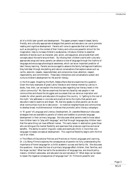all of a child's later growth and development. The papers present research-based, familyfriendly, and culturally-appropriate strategies that parents and educators can use to promote reading and cognitive development. Parents will come to appreciate that oral traditions such as storytelling in the context of their history and culture are powerful stimuli for the imagination, help to increase children's vocabularies, introduce children to essential elements of stories (such as character, plot, action, and sequence), and provide them with concepts about the world around them. By infusing their children's world with culturallyappropriate songs and verse, parents can advance a love of language through the rhythms of language and encourage phonological awareness, which can be an important predictor of later literacy learning. Parents are encouraged to advance the family heritage and traditions they hold dear through storytelling and natural conversations that explore values such as *cariño, atención, respeto, responsibilidad*, and *compromiso* (love, attention, respect, responsibility, and commitment). These daily interactions and conversations sustain and nurture children's development for life and for literacy.

In the first paper, *Dispelling the Myth*, Rebeca María Barrera examines this question: Given the many examples of great Latino literature and intense interest by Latinos in books, how, then, can we explain the shocking data regarding low literacy levels in the Latino community? Ms. Barrera examines the barriers faced by real people in real communities and shares the struggles and successes that can serve as inspiration and models for other parents and educators throughout the country. In "getting to the root of the myth," she addresses in concrete and practical terms the myths that parents and educators need to examine and dispel. Ms. Barrera speaks to what parents can do and what communities must do to take action – to mobilize neighborhoods and communities to develop broad, multidimensional initiatives that promote Latino literacy campaigns.

In *"El gusto" of Language and Literacy Development*, Dr. Jeanette Betancourt discusses strategies that are available to parents of infants and toddlers to promote language development in their primary language. She discusses what parents need to know about how children learn to "play with language," and that through language play children learn that the same thing can have different names. This early lesson in abstraction gives those who are bilingual the mental flexibility and openness that produces cognitive and social benefits. The ability to switch linguistic codes and eventually think in more than one language increases conceptual development. This cognitive flexibility begins with the first coo of an infant.

In *The Effects of Educational Policies and Practices on Home Languages and Learning*, Dr. Lily Wong Fillmore explores the consequences of parents not fully understanding the importance of home language for a child's academic success and family life. She discusses the questions: How does the loss of a primary language affect children, their families, and the larger society? What has led to the acceleration of language loss, and should policymakers, children's advocates, and educators be worried about it? What steps can be taken to lessen the negative consequences of language loss? Dr. Fillmore's powerful and

> NCLR Page 3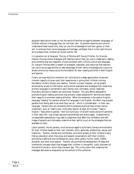poignant descriptions draw us into the world of families struggling between languages, of children without a language they can call their own. As parents examine and come to understand these issues fully, they can use this knowledge to fuel their *ganas*, or their will, to embrace their home language and heritage, confident that it is the right thing to do to prepare their children for school and for life.

In *Juguemos con el lenguaje: The Joy of Talking with Young Children*, Dr. Graciela Italiano-Thomas shares strategies with teachers which they can use to create early reading environments that are respectful of and consistent with a child's culture and language. Dr. Italiano-Thomas offers a wealth of strategies, examples, and resources that teachers can use to encourage families to take advantage of their family knowledge and culture to access community resources as the foundation for later reading activities in both English and Spanish.

Finally, we hope that this collection will contribute to a deep appreciation of parents' inherent capacity to draw upon their experiences in giving their children a strong foundation of early literacy and reading. Parents' success, however, can be greatly enhanced by access to information and practical examples and strategies that reveal how primary language is connected to early literacy and, ultimately, school readiness. Educators and policy-makers are cautioned, however. The very efforts designed to promote English reading activities may actually create obstacles for families and lessen their capacity to promote reading activities. When the emphasis is focused on Englishlanguage "reading" for parents whose first language is not English, the effort may prevent parents from being able to do what they *can* do – which is considerable – in their own language. Parents who are constantly told to embrace practices they simply cannot implement, such as "read to your child every day for at least 20 minutes," "read in English," "play phonics games," "and "surround your child with books and print activities in their daily life," may simply become overwhelmed and discouraged. Unexamined or unreasonable expectations may lead to judgments that affect the confidence and selfimage of parents and ultimately undermine their ability to act on the strategies that are available to them.

Latino parents, like all parents, must be encouraged to build early literacy environments for their children based on their own interests, skills, aptitudes, preferences, values, and traditions. Parents, literate and nonliterate, contribute greatly to their children's early literacy education when they enjoy and expand conversations with their children, promoting traditional and contemporary song, verse, poetry, humor, jokes, riddles, proverbs, and other word games. Parents can promote the development of ideas and intellectual concepts when they engage their children in thoughtful, joyful discovery of the world of words in which they live each day. This is the vision that underlies the messages delivered so eloquently by the authors of this collection.

NCLR Page 4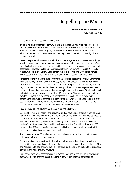## Dispelling the Myth

**Rebeca María Barrera, MA**

Palo Alto College

It is a myth that Latinos do not love to read.

There is no other explanation for why the rain-drenched Latinos were standing in a line that wrapped around the Manhattan city block where the Lectorum Bookstore is located. They had come to the book signing for Jorge Ramos' book *Atravesando Fronteras*, of which more than 4,000 copies were sold that day. I saw it myself, or I too might have believed the myth.

I asked the people who were waiting in line to meet Jorge Ramos, "Why are you willing to stand in the rain for hours to have your book autographed?" Many had done this before to meet Carlos Fuentes, Sandra Cisneros, and Isabel Allende. They answered in a variety of accents and intonation patterns, reminiscent of their hometowns in Puerto Rico, Cuba, Mexico, Colombia, and Spain. Each person said in his or her own way, "Jorge Ramos writes about me, my experience, my life. I long for books about the Latino story."

Across the country in Los Angeles, I was fortunate to participate in the first Edward Olmos Book and Family Festival. Over the two-day festival, thousands of Latinos walked through the turnstile at the entrance, clicking the counter as they passed, the number skyrocketing beyond 17,000. Thousands – *hombres, mujeres, y niños* – sat in awe as poets read their rhythmic lines and authors penned their autographs into the title pages of their books, such as Rodolfo Anaya who signed copies of *Bless Me Ultim*a and *Alburquerque*. Hours later as they left the event, festival-goers' arms were loaded with books on every topic from gardening to literature to parenting. Rubén Martínez, owner of Martínez Books, sold every book in his exhibit. As he rolled empty bookcases out of the dock to his truck, he said, "I have always known Latinos love to read. Now, everybody will know."

I saw this too, or I might have continued to believe the myth.

Dozens of government reports and academic studies have helped create a widely believed notion that the Latino community is illiterate and uninterested in books, and, as a result, has the highest dropout rate in the country. According to the National Center for Education Statistics, "by age nine, Hispanics lag behind their non-Hispanic peers in reading."1 Another report from the National Assessment of Educational Progress 2000 indicates that 58% of Latino fourth graders read below the basic level, making it difficult for them to read and comprehend simple text.<sup>2</sup>

The data are accurate. There is a serious reading issue to tackle, but it is not because Latinos do not love books and stories.

Storytelling is as old a tradition in the Latino culture as are the ruins of pyramids in Mexico, Guatemala, and Peru. The ruins themselves are a testament to the efforts of Maya and Aztec ancestors to preserve their stories through the use of an elaborate codex system carved on the walls of every structure.

Eons before there were paperback racks in every airport and bestseller lists in newspapers, there were storytellers who passed along the history of families from generation to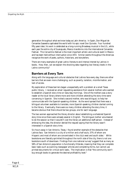generation throughout what we know today as Latin America. In Spain, Don Miguel de Cervantes Saavedra captivated the world with his epic novel *Don Quixote*. Four hundred fifty years later, his work is celebrated as a long-running Broadway musical in the U.S., while each year the entire city of Guanajuato, Mexico transforms into the International Cervantes Festival. This *Cervantino* festival is the most important artistic and cultural event in Mexico and has been held without interruption since 1972. Similar events throughout the Americas recognize the work of poets, authors, historians, and storytellers.

There are many examples of great Latino literature and intense interest by Latinos in books. How, then, can we explain the shocking data regarding low literacy levels in the Latino community?

#### **Barriers at Every Turn**

Along with the language and cultural obstacles that Latinos face every day, there are other barriers that are even more challenging, such as poverty, isolation, misinformation, and lack of access.

My exploration of these barriers began unexpectedly with a problem at a small Texas public library. I received an email requesting assistance from several mothers who wanted to establish a Spanish story time on Saturday mornings. One of the mothers was a story reader at the local library where more and more children attending the story time were conversing in Spanish. She invited a second mother, who was bilingual, to help her communicate with the Spanish-speaking children. As the word spread that there was a bilingual volunteer available to translate, more Spanish-speaking children started coming to the library. Eventually, there were so many children attending the story time, it became obvious that there should be two groups, one for each language.

The two women approached the library director about establishing a scheduled Spanish story time since there were already several in English. The bilingual mother volunteered to do the session so that it wouldn't cost the library an additional staff person. Instead of embracing the idea, the director denied the request saying that the library wasn't interested in a Spanish story time.

Six hours away in San Antonio, Texas, I found another example of the obstacles that Latinos face. San Antonio is a city of a million and a half souls, 57% of whom are Hispanic and most of whom are concentrated in the city's west and south sides.<sup>3</sup> While bookstores are liberally sprinkled throughout the north side of the city, there is not one bookstore south of downtown. Findings from one national survey<sup>4</sup> suggest that as many as 58% of San Antonio's population is functionally illiterate, meaning that they can complete basic tasks such as scanning newspaper articles and completing forms, but cannot use printed documents for critical work tasks. The implication is that "the community won't buy enough books to generate the desired profitability level."

Page 6 NCLR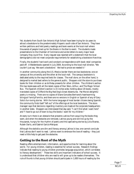#### Dispelling the Myth

Yet, students from South San Antonio High School have been trying for six years to attract a bookstore to the predominately Hispanic south side of San Antonio. They have written petitions and held poetry readings and book events at the local mall where thousands of people lined up for the Books in the Barrio event. The students made presentations to the Chamber of Commerce and wrote letters to every major book company they could find. Every request was rejected with a statement that the local demographics did not meet corporate requirements for establishing a bookstore franchise.

Finally, the students' hard work and constant correspondence with book retail companies paid off. A Waldenbooks opened in July 2004. According to the local mall director, "We couldn't just say, 'We want a bookstore.' We had to prove we needed it."

In another community along the U.S.-Mexico border there are two bookstores: one on campus at the university and the other at the local mall. The campus bookstore is dedicated solely to the required texts for classes. The mall store, on the other hand, is designed to market best sellers to the general public. Shoppers visit the store to purchase books for their children or as birthday presents for other children. The children's section fills two bookcases with all the latest copies of *Star Wars*, *Arthur*, and The *Magic School Bus*. The Spanish children's section is 15 inches wide, holding about 20 books, mostly translated copies of *Clifford the Big Red Dog's Great Adventures*. Pat Mora's delightful poetry is missing. There are no copies of Diane Gonzáles Bertrand's heartwarming bilingual *Family/Familia*, and there are no versions in English or Spanish of any of Gary Soto's fun-loving stories. With the home language of most border citizens being Spanish, the community finds itself "left out" of the offerings at the local bookstore. The store manager says that decisions regarding inventory are made at the corporate headquarters in another state. Shoppers we interviewed that day said, "I can't find what I want here" and "I have to go out of town to buy the books I want for my children."

At every turn there is an obstacle that prevents Latinos from acquiring the books they want, and when the obstacles are removed, Latinos young and old line up by the thousands, hungry for the rhythm of poetry and the captivating stories by Julia Álvarez, Rubén Darío, and Gabriel García Márquez.

Although the statistics are dim and literacy among Latinos is low, one cannot conclude that Latinos don't want to read. Latinos want to embrace the love of reading – they just need a little help to get past the obstacles.

#### **Getting to the Root of the Myth**

Reading offers entertainment, information, and opportunities for learning about the world. For young children, reading is essential for school success. Research findings indicate that reading to young children promotes language acquisition, which correlates to literacy development.<sup>5</sup> These two skills are important indicators of school success. It is understood that children who are read to will grow up to be readers themselves. The rule of thumb is that young children should participate in 1,000 hours of reading by the

> Page 7 NCLR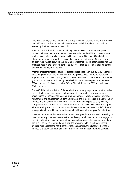time they are five years old. Reading is one way to expand vocabulary, and it is estimated that half the words that children will use throughout their life, about 6,000, will be learned by the time they are six years old.

White non-Hispanic children are more likely than Hispanic or Black non-Hispanic children to have someone who reads to them every day. While 73% of children whose mothers were college graduates were read to every day in 2002, and 60% of children whose mothers had some postsecondary education were read to, only 42% of Latino children were read to daily.<sup>6</sup> The underlying premise that readers become graduates and graduates read to their children cannot be true for Hispanics as long as the high school completion rate does not increase.

Another important indicator of school success is participation in quality early childhood education programs where enrichment activities provide opportunities to develop or improve basic skills. Once again, Latino children fare worse on this indicator than other groups, with only 40% participating in early childhood education programs compared to 70% of children of college graduates, 64% of Black children, and 59% of non-Hispanic White children.<sup>7</sup>

The staff of the National Latino Children's Institute recently began to explore the reading barriers that Latinos face in order to find more effective strategies for community organizations to increase reading among young Latinos.<sup>8</sup> Focus groups and interviews with families and educators in California's Bay Area and in South Texas' Rio Grande Valley resulted in a list of over a dozen barriers ranging from language to poverty, mobility, transportation, and limited access to culturally authentic books. Educators in the group felt that reading was not a priority for families while parents explained the difficulties of managing two jobs and living in multigenerational homes with no space for quiet time.

These are just a few of the reasons that Latinos have given for the low levels of reading in their community. In order to reverse the trend everyone will need to become engaged in changing attitudes, providing information, making books accessible, and breaking down barriers. The entire community must own the problem. Retail merchants, elected officials, religious leaders, health care professionals, employers, educators, the media, families, and young Latinos must all be involved in creating a community that reads.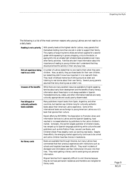The following is a list of the most common reasons why young Latinos are not read to on a daily basis:

| Reading is not a priority                                   | With poverty levels at the highest rate for Latinos, many parents find<br>themselves holding more than one job in order to support their family.<br>The urgency of acquiring tennis shoes and school supplies for a second-<br>grader while squeezing in grocery shopping, a trip to the doctor, or<br>paying bills into an already tight schedule takes precedence over many<br>other family activities. Families who don't have information about the<br>importance of reading to young children don't understand that they<br>should prioritize this activity in their very busy lives.                                                          |
|-------------------------------------------------------------|-----------------------------------------------------------------------------------------------------------------------------------------------------------------------------------------------------------------------------------------------------------------------------------------------------------------------------------------------------------------------------------------------------------------------------------------------------------------------------------------------------------------------------------------------------------------------------------------------------------------------------------------------------|
| Did not experience being<br>read to as a child              | A number of Latinos stated that no one read to them when they were<br>children. Now, as adults, they purchase books for their own children,<br>but stated they didn't know how important it is to read with them.<br>They recall childhood memories of sitting around an elder and<br>listening to real stories about their own family. Several young parents<br>assumed that story-sharing was an elder's role.                                                                                                                                                                                                                                    |
| <b>Unaware of the benefits</b>                              | While there are many excellent resources available to English-speaking<br>families about early brain development and the benefits of early literacy,<br>information about these topics is not always available in Spanish.<br>Translated brochures, videos, and other informative materials are rarely<br>culturally appropriate and usually poorly disseminated.                                                                                                                                                                                                                                                                                   |
| Few bilingual or<br>culturally authentic<br>books available | Many publishers import books from Spain, Argentina, and other<br>countries, but teachers say children long for culturally authentic<br>books about their American Latino experience. Some of the<br>international books are as foreign to young American Latinos as a U.S.<br>book that ignores their culture.                                                                                                                                                                                                                                                                                                                                      |
|                                                             | Recent efforts by REFORMA, <sup>9</sup> the Association to Promote Library and<br>Information Services to Latinos and the Spanish-Speaking, have<br>resulted in increased attention by publishers to the Latino children's<br>market. Scholastic, the world's largest publisher of children's books,<br>has ramped up its Spanish-language publishing while culture-focused<br>publishers such as Arte Público Press, Lee and Low Books, and<br>Children's Book Press steadily crank out exciting new books. Despite<br>these efforts, the emerging market opportunity continues to be unmet<br>and Latino children have few choices in bookstores. |
| No library cards                                            | Books are available free through libraries, but many Latinos have<br>commented that their previous experiences with institutions such as<br>schools and hospitals have been difficult. They recall incidents of<br>disrespect and intimidation and fear institutional intrusion into their<br>lives. They resist getting a library card to avoid giving out personal<br>information.                                                                                                                                                                                                                                                                |
|                                                             | Migrant families find it especially difficult to visit libraries because<br>they do not have permanent residences and therefore are ineligible for<br>library cards.                                                                                                                                                                                                                                                                                                                                                                                                                                                                                |

Page 9 NCLR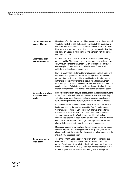#### Dispelling the Myth

| Limited access to free<br>books or libraries           | Many Latino families that frequent libraries commented that they find<br>wonderful nonfiction books of general interest, but few books that are<br>culturally authentic or bilingual. Others comment that there are few<br>libraries where they live, or that library budgets are so tight that they<br>are closed on weekends when families who work can visit the library<br>with their children.                                                                                                                                                                                                                                                                                                                                                                                                                                                                                                                                                                                                                                                                                                              |
|--------------------------------------------------------|------------------------------------------------------------------------------------------------------------------------------------------------------------------------------------------------------------------------------------------------------------------------------------------------------------------------------------------------------------------------------------------------------------------------------------------------------------------------------------------------------------------------------------------------------------------------------------------------------------------------------------------------------------------------------------------------------------------------------------------------------------------------------------------------------------------------------------------------------------------------------------------------------------------------------------------------------------------------------------------------------------------------------------------------------------------------------------------------------------------|
| Library acquisition<br>policies are complex            | Libraries purchase books that have hard covers and special binding for<br>extra durability. The books are usually more expensive and purchased<br>only through city-approved vendors. Even authors find it difficult to<br>donate copies of their books to libraries because of the special<br>publishing and cataloging requirements.                                                                                                                                                                                                                                                                                                                                                                                                                                                                                                                                                                                                                                                                                                                                                                           |
|                                                        | It would be very complex for publishers to communicate directly with<br>every municipal government in the U.S. to register for the vendor<br>process. As a result, most publishers sell books to libraries through<br>authorized book distributors that already have established vendor<br>relationships. The vendors' booklists include best sellers and books by<br>popular authors. Only Latino books by previously established authors<br>make it to the vendor booklists that libraries use for ordering books.                                                                                                                                                                                                                                                                                                                                                                                                                                                                                                                                                                                             |
| No bookstores or places<br>to purchase books<br>nearby | High school completion rates, college education, and economic status are<br>some of the criteria used by chain bookstores to determine where they<br>will set up a new store. Since Latinos have among the highest poverty<br>rates, their neighborhoods are rarely selected for new book businesses.<br>Independent business leaders are more likely to set up Latino-focused<br>bookstores. Among the best known are Martínez Books in Santa Ana,<br>California, Iaconi Books in San Francisco, California, and Lectorum<br>Bookstore in Manhattan, New York. These stores cater to Spanish-<br>speaking readers as well as English readers seeking cultural products.<br>Martínez Books serves as a community center hosting voter registration<br>events, art shows, and author signings, thereby proving that the most<br>effective Latino community bookstore serves many purposes.<br>Many good books are now available through companies selling books<br>over the Internet. While the opportunities are growing, the digital<br>divide continues to be greater for Hispanics than other groups, so this |
| Do not know how to<br>select books                     | may not offer a quick solution.<br>The phrase "Don't judge a book by its cover" offers insight into the<br>confusion in choosing appropriate children's books for each age<br>group. Parents don't know whether books with more words are more<br>useful than those that are highly illustrated, whether the themes will<br>interest boys or girls, or whether the reading level is appropriate.                                                                                                                                                                                                                                                                                                                                                                                                                                                                                                                                                                                                                                                                                                                 |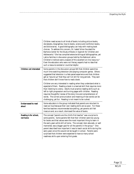|                                     | Children need access to all kinds of books including picture books,<br>storybooks, biographies, how-to books, science and nonfiction books,<br>and dictionaries. A good bibliography can help with making book<br>choices. To address this concern, Dr. Isabel Schon founded the<br>Barhona Center for the Study of Books in Spanish for Children and<br>Adolescents. <sup>10</sup> She has compiled extensive bilingual bibliographies, yet<br>Latino families in discussion groups held by the National Latino<br>Children's Institute were unaware of this excellent on-line resource. <sup>11</sup><br>Even the educators who were not literacy experts had no idea that<br>such a resource existed or could be helpful. |
|-------------------------------------|------------------------------------------------------------------------------------------------------------------------------------------------------------------------------------------------------------------------------------------------------------------------------------------------------------------------------------------------------------------------------------------------------------------------------------------------------------------------------------------------------------------------------------------------------------------------------------------------------------------------------------------------------------------------------------------------------------------------------|
| Children not interested             | Some parents in the discussion groups felt that children spend too<br>much time watching television and playing computer games. Others<br>suggested that television is a fast-paced experience and that children<br>get so "wound up" that they can't sit still for long periods. They said<br>that children don't know how to read a book.                                                                                                                                                                                                                                                                                                                                                                                  |
|                                     | Children are very interested in reading when they understand what is<br>expected of them. Reading a book is a learned skill that requires more<br>than listening to a story. Adults must practice reading skills such as<br>left to right progression and turning pages with children. Reading<br>requires thoughtful review of the story line and comprehension of<br>words. The correct pronunciation and meaning of new words can be<br>challenging, yet fun. Reading is not meant to be rushed.                                                                                                                                                                                                                          |
| <b>Embarrassed to read</b><br>aloud | Some educators in the group indicated that parents are reluctant to<br>read out loud because their own reading skills are so poor. For these<br>families teachers recommended storytelling, yet parents still felt<br>insecure and, as a result, dismissed the value of books.                                                                                                                                                                                                                                                                                                                                                                                                                                               |
| Reading is for school,<br>not home  | The concept "parents are the child's first teacher" was a surprise to<br>some parents. Some parents felt that their children were too young<br>for books and that values were the most important thing to learn in<br>the early years while still at home. The concept, bien educado, or well<br>mannered, was a bigger goal for all the parents in the group. <sup>12</sup> One<br>parent described how important it was to teach social skills during the<br>early years since this would not be taught in school. Parents were<br>surprised that children were expected to have so many school<br>readiness skills upon entering first grade.                                                                             |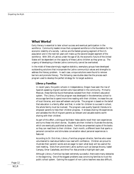#### **What Works?**

Early literacy is essential to later school success and eventual participation in the workforce. Community leaders know that a prepared workforce is the foundation for the economic stability of a society. Latinos are the fastest-growing segment of the U.S. population and in the next ten years will make up the second-largest segment of the workforce. With 35% of Latinos under the age of 18, the economic future of the United States will be dependent on the capacity of these Latino children as they grow up. The urgency of developing a literate Latino community cannot be overlooked.

In the midst of these alarmingly negative statistics, exemplary groups have developed outstanding solutions that incorporate the Latino community's values and strengths to address the literacy problem. In each case, unique solutions were found to remove barriers and promote literacy. The following case studies describe the process each program used to develop the perfect strategy for its target audience.

#### **Libros y Familias**

In recent years, the public schools in Independence, Oregon have seen the rise of Spanish-speaking migrant workers who have settled in the community. Primarily Mexican, these families found themselves isolated from their children's education system. The *Libros y Familias* program was developed in the elementary school to encourage families to spend more time reading with their children, increase the use of local libraries, and raise self-esteem and pride. The program is based on the belief that education is a family affair and that, in order for children to succeed in school, the whole family must be involved. The program uses quality Spanish literature to empower parents to help their children progress. It stresses sharing life experiences and validates the life of migrant parents as relevant and valuable events worth sharing with their children.

As part of this effort, a bilingual facilitator helps adults recall their own experiences and turns these into short stories. Students are then invited to illustrate the stories, which are eventually published as books. Families are presented copies of the books so they can read them to their children. Each month, a different book that sparks a personal connection and stimulates conversation about personal experiences is featured.

According to Dr. Dick Keis, *Libros y Familias* program director, families who never volunteered to read aloud before now read with confidence. Children are proud to illustrate their parents' words and are eager to learn what book will be used at the next meeting. Visits from prominent Latino authors such as George Ancona, Isabel Campoy, Omar Castañeda, and Alma Flor Ada provide a highlight each year.

Although *Libros y Familias* has been extremely successful, there were many obstacles in the beginning. One of the biggest problems was convincing families to trust the public school system. Gaining the support of non-Latino teachers was also difficult,

Page 12 NCLR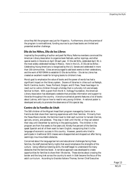since they felt the program was just for Hispanics. Furthermore, since the premise of the program is nontraditional, funding sources to purchase books are limited and presented another challenge.

#### **Día de los Niños, Día de los Libros**

Inspired by the prodding of author and poet Pat Mora, Reforma members convinced the American Library Association to organize book festivals, author signings, and other special events in libraries on April 30 each year. *El Día del Niño*, celebrated April 30, is the most widely celebrated holiday in Mexico. Here in the U.S., *El Día de los Niños – Celebrating Young Americans* is recognized by the U.S. Senate and celebrated in more than 150 communities. Cities are encouraged to add book events to their celebrations, and the work of REFORMA to establish *El Día de los Niños – Día de los Libros* has created an excellent model for bringing books to children's lives.

Mora's goal to emphasize the value of books and the power of words has had a significant impact on the library system. Dozens of libraries in cities such as Raleigh, North Carolina; Austin, Texas; Portland, Oregon; and El Paso, Texas have begun to reach out to Latino children through a holiday that is culturally rich and already familiar to them. With a grant from the W. K. Kellogg Foundation, the American Library Association has developed a website that provides information and support to libraries throughout the country. A brochure aimed at parents features a list of books about Latinos, with tips on how to read to very young children. A national poster is developed annually to promote the observance of this special day.

#### **Centro de la Familia de Utah**

The 500 children of the Migrant Head Start program managed by Centro de la Familia de Utah share their learning experiences with their families. Primarily from the Texas-Mexico border, the families travel to Utah each summer to harvest cherries, apricots, onions, and potatoes. They stay in Utah until the fall, or they can extend their stay until December by working in the packing plants. The children in the program are from five weeks to five years old. Ninety-five percent of the families speak Spanish and all of them want to learn English, recognizing that it is the language of economic success in this country. However, parents who tried to participate in traditional GED classes were disappointed and dropped out after facing seemingly insurmountable obstacles.

Concerned about the language barriers and educational challenges facing these families, the staff planned family nights that would emphasize the strengths of the culture. Using reflective listening skills, the staff began to understand the many obstacles that the families faced. A narrative approach was developed to create opportunities for families to share their life stories. These stories about crossing the border and the long trek across the country to work in Utah became the focus of the adult curriculum. According to Graciela Italiano-Thomas, former Chief Executive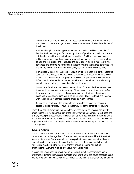Officer, Centro de la Familia de Utah is successful because it starts with families at their level. It creates a bridge between the cultural values of the family and those of Head Start.

Each family night includes opportunities to share stories, read books, partake of familiar foods, and set goals for the family. The staff provide information about how children learn and the value of bilingual education. Traditional nursery rhymes, riddles, songs, poetry, and verses are introduced, and parents practice reciting them to help children expand their language and early literacy skills. Even parents who can't read find a way to help their children learn by using these verbal strategies. As the families advance in their home language, learning English becomes easier.

Home visits, videotaping, and book construction follow the family nights. Incentives, such as washable crayons and free books, encourage continuous parent involvement at the center and at home. The program provides transportation and child care for infants to minimize barriers to parent participation. Sometimes the whole family participates, including grandparents and older siblings.

Centro de la Familia de Utah values the traditions of the families it serves and uses these traditions as a vehicle for learning. Since the culture is valued, families feel they have a place to celebrate. Library books reinforce traditional holidays, and occasionally special days such as *Día de los Muertos* (Day of the Dead) are observed with the building of altars and baking of *pan de muerto* (bread).

Centro de la Familia de Utah has developed the perfect strategy for removing obstacles to early literacy. It features the family life as the center of curriculum.

These three case studies share common elements that should be explored carefully by organizations seeking to remove barriers to literacy for young Latinos. In each case, the primary strategy includes valuing the culture by using the strengths of the Latino family as a means of reaching literacy goals. None of the programs makes a distinction between English or Spanish, emphasizing instead the expansion of vocabulary and verbal skills in both languages.

#### **Taking Action**

The need for developing Latino children's literacy skills is so urgent that a concerted national effort must be organized. There are many organizations and institutions that focus on literacy, yet few have developed the capacity to overcome the cultural barriers that Latinos face. Improving the opportunities for early literacy among Latino children will require marshalling the resources of many groups including non-Latino organizations. Everyone must be involved. Everyone can help.

Plans must be developed for broad, multidimensional initiatives that include public awareness and information, special events to draw attention to the issues, access to books and libraries, and family involvement strategies. At the heart of every plan there must be

Page 14 NCLR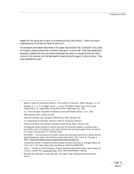respect for the values and unique circumstances of the Latino family. There must be an understanding of the barriers faced at every turn.

The programs and leaders described in this paper have proven that no obstacle is too great for Hispanic parents where their children's education is concerned. They have established exemplary models that work and have challenged the nation to recognize that the Latino culture is not a barrier, but the best asset for overcoming the gaps in Latino literacy. They have dispelled the myth.

- <sup>3</sup> U.S. Census Bureau, Population Estimates by Race and Hispanic Origin, July 1, 2002.
- <sup>4</sup> 2002 National Adult Literacy Survey.
- <sup>5</sup> America's Children: Key indicators of Well-Being, 2002 Indicator ED1.
- <sup>6</sup> U.S. Department of Education, National Center for Education Statistics.
- <sup>7</sup> America's Children: Key National Indicators of Well-Being, 2002, Indicator ED2.
- <sup>8</sup> The National Latino Children's Institute met with 26 community leaders in the Bay Area in June 2003 as part of Scholastic's *Lee y serás* Initiative and with participants of the Success by Six Project in Brownsville, TX, February 2004.
- <sup>9</sup> REFORMA The Association to Promote Library and Information Services to Latinos and the Spanish-Speaking, contact the American Library Association, 50 E. Huron St., Chicago, IL 60611, http://www.latino.sscnet.ucla.edu/library/reforma/index.htm
- <sup>10</sup> The Barhona Center is located at California State University San Marcos, Kellogg Library, 5th Floor, 333 S. Twin Oaks Valley Road, San Marcos, California 92096-0001.
- <sup>11</sup> Schon, I. *The Best of Latino Heritage: A Guide to the Best Juvenile Books about Latino People and Cultures.* Lanham, MD: Scarecrow Press, 2003. ISBN 0-8108-4669-1. 269 pp.
- <sup>12</sup> *Bien educado* translates to "well educated," but means "well mannered and having family values."

<sup>1</sup> National Center for Education Statistics, *The Condition of Education*, 1999, Indicator 1, 2, 4-6.

<sup>2</sup> Donahue, P. L., A. D. Finnegan, and N. L. Lutkus, *The Nation's Report Card: Fourth Grade Reading* 2001, U.S. Department of Education, NCES. Washington, DC, 2001.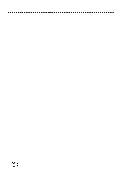Page 16 NCLR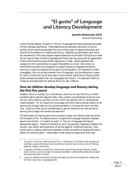## "El gusto" of Language and Literacy Development

#### **Jeanette Betancourt, Ed.D.**

Sesame Workshop

Latino children develop "*el gusto*" or "the joy" of language and literacy development based on their everyday experiences. These experiences are generally tied within a cultural context, which cannot be separated from how children learn to express themselves, and they set the foundations for reading and writing. Establishing a philosophy upon which any household or child care program supports being bicultural and/or bilingual as an asset and as a way to foster children's language and literacy learning, along with an appreciation of who they are and the value of their experiences, is ideal. Assisting parents and caregivers to form partnerships to support these efforts is critical. Once there is a commitment by parents and caregivers to support *el gusto* of language and literacy learning in a way that supports biculturalism and bilingualism, the momentum is often unstoppable. Not only do adults benefit from this approach, but the difference it makes for Latino children during the early years is monumental, significantly influencing their positive perspectives about their own language(s) and culture. This approach fosters an innate joy and enthusiasm for learning which will last a lifetime!

#### **How do children develop language and literacy during the first five years?**

*Suddenly there is a healthy cry in the delivery room! For the very first time, a mother and father get to see their beautiful baby. They carefully and tentatively stroke her and call her name, Catalina, and then murmur to her how beautiful she is,* "¡Qué preciosa nuestra belleza!" *For an instant the crying stops, and little Catalina stares intently at her parents who lovingly keep murmuring how wonderful it is to have her enter into their lives. Catalina is then quickly whisked away to get her started on her new journey of learning which began the moment she was born!*

The enthusiasm for learning and communicating is never more obvious than during the first five years of life. The above scenario is a typical first language interaction between parents and children. It is where "*el gusto*"\* or "the joy" of language† and literacy† development begins. These first interactions, which are generally responses to babies' first sounds, cries, smiles, and movements, all set the stage for a lifetime of learning. Such actions lead to creating a partnership between children and adults to develop and foster a pattern for communication. Infants begin to feel a sense of reassurance when they

<sup>\* &</sup>quot;El gusto" in this text is defined as the "joy" or "enthusiasm" of children at any age who are learning to express themselves and discovering a variety of ways to do so such as listening, speaking, reading, and writing.

<sup>†</sup> Language is defined as the ability to interactively communicate through listening, sounds, words, actions, as well as to gain increasing knowledge in understanding ideas and concepts and expressing them to others.

Literacy is defined as the ability to listen and speak and sets the foundation for reading and writing in ways that are age-appropriate. ††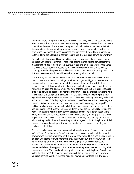communicate, learning that their needs and wants will safely be met. In addition, adults learn to "know their infants" – the movements they make when they are tired, the cooing or quick smiles when they are held closely and cuddled, the fast arm movements that demonstrate excitement as a they are sung or read to by a parent's melodic voice, and cries which can indicate hunger, sleepiness, or many other things. These interactions foster and bind the relationship between infants and the loving adults who care for them.

Gradually, infants grow and become toddlers (one- to two-year-olds) and a whole new language world starts to emerge. Those small cooing sounds start to come together to make longer strings of gibberish that eventually begin to emerge as actual single words or two-word phrases. Suddenly, toddlers start to emphasize their needs and actions by pointing, using facial expressions and body movements, and most of all, using their voices! At times they scream with joy, while at other times cry with frustration.

This is the age of the "fantastically curious twos," when children's experiences spread beyond their immediate surroundings. Their world is getting bigger as they venture out; they are seeing and experiencing more things around them, not just within their neighborhoods but through television, books, toys, activities, and increasing interactions with other children and adults. Every new form of learning is met with excited squeals, cries of delight, and a desire to do more on their own. Toddlers are also developing ways to generalize and categorize information – for example, several different types of fourlegged animals are grouped as "*wuaw-wuow*" or "bow-bow" and may eventually be labeled as "*perros*" or "dogs." As they begin to understand the differences within these categories, these "buckets of information" become more refined and increasingly more specific; toddlers gradually learn the words to label things more specifically, and their vocabulary and language use continues to increase. Children at this age are incredibly curious and want to imitate the world and adults they see around them. As children watch adults write, their desire to do the same thing grows. They endlessly ask for paper and crayons or pencils to scribble with or to make "drawings." Similarly, they are eager to imitate adults as they read to them – the way they turn the pages or point to the pictures. It is in these early stages of development when the foundation and interest for writing and reading are established.

Toddlers are also using language to express their points of view. Frequently, words such as "no," "I do it" (*yo hago*), or "mine" (*mio*) are typical expressions that children use to proclaim who they are, what they want, and what they know. This is also the age in which children understand so much more than they can actually put into words, which can be very frustrating for them at times. Their sense of purpose or determinedness is demonstrated by the words they use and the actions that follow; they appear entirely single-minded and often appear not to listen because they are so focused on doing what they set out to do. This may be why many adults may describe this phase of development as the "terrible twos." In reality it is just young children's way of asserting the joy of language learning and their desire to "use" this newfound knowledge with the adults

Page 18 NCLR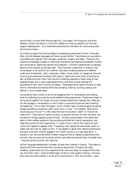around them, to show what they are learning. Once again, the interaction and bond between children and adults is critical for toddlers to move successfully into the next stages of development – this relationship becomes the motivation for continued growth and communication.

As children progress from being toddlers to developing preschoolers (three- to five-yearolds), the link between language and literacy grows further. Preschoolers are now able to more effectively "express" their thoughts, questions, insights, and ideas. The key to this newfound knowledge is based on continued interactions and experiences between children and caring adults, specifically parents and caregivers. Children's experiences increasingly become more complex as they get older. They may enter a preschool or a family child care program or be cared for by a relative; they have increasing exposure to different media such as television, radio, computers, videos, movies, books, or magazines; they are forming more extensive friendships with peers or adults who share many similarities as well as differences with them; they may be increasingly exposed to larger areas of their neighborhoods, and in many cases beyond them, and other venues whereby the boundaries of their world continue to extend. These experiences require children to learn how to understand and express what they are seeing, hearing, touching, tasting, and feeling in more complex ways.

Caring adults help children to do this by engaging them in conversations and helping them to understand and use the words related to these experiences. Preschoolers begin to string words together into larger and more complex sentences to express their ideas and can also engage in conversations in which there is a process of give and take (listening and speaking). This is often the stage in which children seem to exhaust adults by asking endless and difficult questions, often using "why" or "how." For example, "Why do the clouds stay up in the air?" or "Why does the moon move when I walk?" or "How do we make milk?" They have an intense curiosity to discover the why, the how, the what, and the where of things happening around them. As they receive answers from adults and peers to their endless questions, they are being provided with words, expressions, and ideas that connect to their experiences. It is also a time in which their desire for both routine and repetition appears fixed. Frequently, they request the same foods, books, or videos over and over for weeks on end. It may appear to adults who observe preschoolers that each time their children engage in this "same" activity it is a new experience. It actually is not, since preschoolers innately recognize that by repeating experiences over and over, they are learning the words, actions, and ideas they see and hear, time after time – they are reinforcing their own learning!

As their language development increases, so does their interest in literacy. They begin to realize that there may be more than one way to express their thoughts and ideas. Suddenly, preschoolers not only respond to their name but begin to recognize that they can write their name – those scribbles begin to take on even greater meaning. Similarly, they notice and take interest in all the print around them in their environment – signs,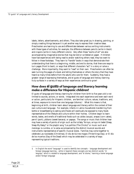labels, letters, advertisements, and others. They also take great joy in drawing, painting, or simply creating things because it is yet another way to express their creative ideas. Preschoolers are learning to use and differentiate between various writing instruments with these types of activities, for example, the difference between pencils (write in black) and crayons (write in many different colors). Very often these "works of art" are also accompanied by imaginative stories that may be told or scribbled on paper. If children have had experiences with being read to and/or watching others read, they too want to follow in these footsteps. They learn to "handle" books in ways that demonstrate their understanding that there is a beginning, middle, and end to stories, that there are ways to turn pages (front to back), or ways that different characters "act" in a story or solve a challenge. More importantly, they want to "read" on their own. Preschoolers can often be seen turning the pages of a book and telling themselves or others the story that they have heard so many times before from the adults who care for them. Suddenly, they have a greater range of expressing themselves, and *el gusto* of language and literacy learning truly surfaces in a variety of ways as their experiences continue to grow!

#### **How does** *el gusto* **of language and literacy learning make a difference for Hispanic children?**

*El gusto* of language and literacy learning for children from birth to five years old is not limited to sounds, actions, or words. Integrated into each experience and even each word or action, particularly for Hispanic children, are families' culture, values, traditions, and, at times, exposure to more than one language (*idioma*).§ What this means is that, beginning at birth, children learn about language and literacy within the context of their own culture and language. For example, infants in Latino households transferring from bottle or breastfeeding to eating solid foods will eventually be exposed to many foods representative of the lifestyle and culture within their homes. Children begin to learn words, tastes, and smells of traditional foods such as *caldos* (soups), *arepas* (corn cakes), *pernil* (pork), *plátano* (sweet banana), or papaya. The songs or music that children hear may have a variety of points of origin such as the lullaby "*Arroyo, arroyo mi bebé* (Sleep, Sleep My Baby)" or the playful song "Los pollitos (The Chicks)" or music such as *el merenge, la cumbia*, or *la salsa* accompanied by the distinct musical sounds and instruments representative of specific musical styles. Families may come together to celebrate *Las navidades* (Christmas), *El día de los tres magos* (Three Kings Day), or *El día de los muertos* (Day of the Dead) which may be celebrated in a variety of ways representing typical traditions.

<sup>§</sup> In English the word "language" is used to identify two concepts – language development and foreign language learning – while in Spanish these concepts are two distinct words: "*el lenguaje*," which is related to language development, and "*el idioma*," learning a home language and/or foreign language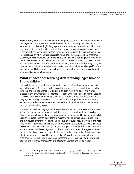These are only a few of the many thousands of experiences that Latino children from birth to five years old may encounter in their households. As previously described, such experiences provide meaningful language – words, actions, and expressions – which are regularly reinforced by the adults in their lives through interactions and conversations. Hispanic children are forming the framework for their language development and literacy interests based on what they are exposed to within their households, school programs, churches, and communities. Children's enthusiasm and joy of learning is intricately tied to the typical everyday experiences that surround them regularly and repeatedly. In each and every one of these situations children are building foundations for learning – they are learning not only to understand concepts related to such activities but also specific words, expressions, and beliefs in ways that naturally become part of their thinking and way of viewing and describing their world.

#### **What impact does learning different languages have on Latino children?**

Latino children, especially those under age five, are a significant and growing population within this nation. As is typical with many ethnic groups, there is great diversity in the ways that children learn language. Hispanic children from birth to age five may be exposed to one or two languages (*idiomas*)<sup>\*\*</sup> – both English and Spanish may be used, or it may be only Spanish or only English; however, in each of these scenarios, *el gusto* of language and literacy development is combined with the acquisition of sounds, words, expressions, media use, and exposure to cultural traditions within Latino communities through the home language(s).

If Spanish is the home language, children will learn to express themselves with the tones, sounds, words, expressions, grammatical structure, and cultural traditions typical of Spanish-speaking households. As they are learning the sounds and letters of the alphabet, Spanish-language children easily learn to make the rolling "*rr*" sound as in *perro* (dog) and distinguish it from the "*r*" sound in *pero* (but) or to quickly say the "*ñ*" as in the word *niño* (child). They understand different grammatical structures such as when a descriptor (adjective) is used after the object (noun), for example, *pelota roja* (ball red) or the use of subjects (pronouns) depending on whom the individual may be and the degree of respect that must be offered to an individual, for instance, in the case of *tu* (you) and *usted* (you). Children may also be exposed to various media in Spanish – for example, television programming, radio, books, magazines, newspapers, videos, and mail. While playing at the park children may interact with one another in Spanish, and while in their

Latino children may have exposure to more than two languages. However, for the purposes of this text, the discussion will focus on monolingual (single-language) or bilingual (two-language) households.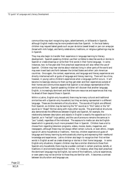communities may start recognizing signs, advertisements, or billboards in Spanish, although English media may be more predominate than Spanish. In the local bakery children may request baked goods such as *pan de dulce* (sweet bread) or *pan con arequipe* (bread with milk fudge), and family celebrations, traditions, or religious gatherings may be in Spanish.

They may also begin to transfer their experience in language learning to literacy development. Spanish-speaking children use their scribbles to describe words or stories in Spanish or create drawings or write their first words in their home language. In some instances, two- to five-year-olds' first preschool experiences will also reflect the use of Spanish. Children may hear stories about relatives living in other parts of the world and may even travel back and forth between the United States and other Latin American countries. Once again, the context, experiences, and language and literacy experiences are directly intertwined with *el gusto* of language and literacy learning. There will be a time, however, in young Latino children's experiences when a language conflict occurs. It will become increasingly obvious to them as they get older and their experiences outside of their homes and communities expand that Spanish is not always representative of the world around them. Spanish-speaking children will discover that another language, English, is increasingly dominant and that there are resources and experiences that may lie ahead of them beyond those in Spanish.

Within a Latino, English-only household, there may be many cultural and traditional similarities with a Spanish-only household, but they are being represented in a different language. These are the elements of biculturalism. The sounds of English are different from Spanish, so children may be learning the "th" sound as in "this" (*esto*) or the "sh" sound as in "shape" (*forma*) along with many other sounds. The grammatical structures also demonstrate the differences between English and Spanish, for example, the relationship between descriptors and objects in English is exactly the opposite as it is in Spanish, as in "red ball" (*roja pelota*), and the use of pronouns remains the same as in "you" (*usted*), regardless of the individual. The exposure to media can also be Englishbased which is generally much more prevalent than in Spanish. Children have a lot to choose from regarding television programs, videos, movies, books, magazines, and newspapers, although these may not always reflect certain cultural, or even ethnic, images typical of Latino households or traditions. Here too, children experience *el gusto* of language and literacy learning by enthusiastically sharing and expressing their newfound knowledge and experiences. Latino children also begin to recognize their first written words in English as well as create drawings or stories in their home language. In some English-only situations, Hispanic children may face a similar dilemma to those from Spanish-only households; there may be a sudden contrast in certain practices, beliefs, or traditions in environments beyond their homes. For instance, when they start preschool the dominant language may be English, but some of the traditions, cultural experiences, or even peers may not be similar to those they are familiar with. It becomes a contrast between biculturalism and language use.

Page 22 NCLR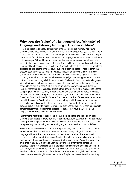#### **Why does the "value" of a language affect "***el gusto***" of language and literacy learning in Hispanic children?**

How is language and literacy development different in bilingual homes? Are young children able to effectively *learn* to use more than one language? Yes, yes, and yes! There is no better time to expose children to learning more than one language. The difficulty is not so much for children to learn more than one language but rather to learn to *maintain* both languages. Within bilingual homes, the above experiences occur simultaneously; surprisingly, most children from birth to age five are able to capture and contextualize the learning of two languages quite effectively. Bilingual children (English and Spanish) learn to recognize and use the different sound systems of each language. These children can produce both an "*rr*" as well as a "th" without difficulty or an accent. They learn both grammatical systems and the different nuances related to each language and use the correct grammatical combinations when describing objects or using pronouns. It is also not uncommon for bilingual children at times to "code switch" or combine two languages within their conversations, for instance, "*Abuelita viene mañana* to the house (Grandma is coming tomorrow *a la casa*)." This is typical in situations where young children are learning more than one language. This is rather different from what many adults refer to as "Spanglish," which is actually the combination and creation of new words or phrases that combine English and Spanish simultaneously, such as "yarda" for "yard or backyard," "roofo" for "roof," or "klinex" for "Kleenex" or "tissue." Neither of these patterns indicates that children are confused; rather it is the way bilingual children communicate more effectively. As said earlier, toddlers and preschoolers often understand much more than they can actually put into words. Bilingual children use the tools from both languages to compensate for this developmental process – if they do not have the words in one language, other words can fill in when needed.

Furthermore, regardless of the process of learning a language, the *gusto* or joy that children experience as they are learning to communicate and establish the foundations for reading and writing is exactly the same. In addition, the invaluable role that parents and caregivers play in motivating and enhancing *el gusto* is no less important or different.

There are some differences for bilingual or Spanish-only children as their world starts to extend beyond their immediate home environments. In any bilingual situation, one language will most likely become more dominant than the other; this is a natural occurrence. In the case of Spanish and English, the latter may generally evolve to be the more dominant language because of perceived value from children's point of view – and often that of adults. Similarly, as Spanish-only children enter formal schooling or preschool, they begin to recognize that there is a more dominant language: English. In both cases, children become aware that a greater number of their peers are speaking in English; books and other forms of media are more prevalent in English; and, in many cases, they are being taught to read and write in English, or the adults with whom they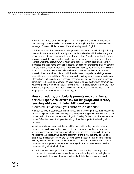are interacting are speaking only English. It is at this point in children's development that they may not see a need to continue communicating in Spanish, the less dominant language. Why would it be necessary if everything happens in English?

This is often where the consequences of language loss are more dramatic than just losing the sounds, words, or expressions in Spanish. As detailed earlier, children learn *el gusto* of language and literacy learning within a cultural context. They learn not just the words or expressions of the language, but how to express themselves, read, or write about who they are, what they believe in, while referring to the predominant experiences they have integrated into their home language. Suddenly, children find themselves grasping at ways to more effectively communicate their ideas because they may not have the exact words to do so. This confusion oftentimes reduces *el gusto* to an exercise of communication for many children. In addition, Hispanic children also begin to experience a bridge between expectations at home and those of the outside world. As they learn to communicate more effectively in English and use less Spanish, there is an unexpected gap in communication, particularly in Spanish-only homes – children may not be able to effectively communicate with their parents or important adults in their lives. The excitement of sharing their new learning or experiences within their households starts to happen less and less; it is no longer joyful but rather an unnecessary struggle.

#### **How can adults, particularly parents and caregivers, enrich Hispanic children's joy for language and literacy learning while maintaining bilingualism and biculturalism as strengths rather than deficits?**

What can be done to counteract this immense struggle? Although the solution may sound simple, it requires a fundamental change in philosophy and approach in supporting Latino children as bicultural and, oftentimes, bilingual. The key facilitators to this approach are children's first teachers – their parents – along with other important and caring adults or caregivers.

Very often adults are unaware of the incredible contributions they make to helping children develop *el gusto* for language and literacy learning, regardless of their own literacy, socioeconomic, and/or educational levels. A first step in helping children is to help parents and caregivers understand that many of the things that they do on a daily basis are so important in leading their children down the path of learning for a lifetime. Helping parents to understand that children are born with an enthusiasm and desire to communicate is important. Below are some suggestions to motivate parents to value communicating with their children.

✎ Guide parents to recognize that every word or statement they speak helps their children to develop the sounds, words, and expressions they will increasingly use to communicate their ideas, thoughts, and needs. It is truly necessary to support

Page 24 NCLR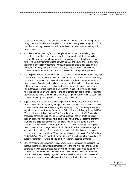parents as their children's first and most important teachers and also to help them recognize the invaluable role they play. Once parents have greater recognition of that role, the more likely they are to continue, and even increase, communicating with their children.

- Provide simple yet meaningful ways to explain how children develop language, particularly using the perspective of *el gusto* of learning that children innately possess. Many of the examples described in the earlier parts of this text illustrate ways to relate everyday interactions between parents and young children and how they model language development. Particular attention should be placed on the reactions that many adults may have to the ways children learn – for example, children's need for repetition and how this may conflict with parents' patience.
- ✎ Provide precise examples of how parents can "converse" with their children at any age or time. Encouraging parents to talk to their children about the details of their daily routines will help them become familiar with opportunities to communicate with their children. Parents can talk about or write down their daily activities and begin linking examples of what can be done and said to motivate language development. For instance, as they are changing their children's diapers, they might talk about what they are doing; or while going to the park, parents can ask children about what they want to do and why; or while making or serving dinner, they might engage their children in naming the ingredients, their colors, and tastes.
- ✎ Support ways that parents can create simple stories, particularly oral stories, with their children. Encourage storytelling by first asking parents to talk about their own children's accomplishments, what they like and enjoy doing. Use prompts along the way which model questioning, for example, "Why did your child enjoy doing that?" or "Where did your child go after that?" or "How did your child do that?" Gradually encourage parents to begin asking each other questions as they are talking about their children. Very few parents have little to say; rather they are eager to share the triumphs and eagerness of their own children. Follow up with samples of the questions that were used. Now ask parents to pick a topic they enjoy sharing with their children and encourage them to think of questions they might ask to begin a story with their children. For example, if the topic is the family dog, have parents engage their children by asking "What does our dog do that is special?" or "Why does he do that?" or "What do you think he will do next?" Keep linking the many styles of questions parents used while describing their children's accomplishments.
- Offer parents ways to encourage literacy development, once again emphasizing that the foundations for literacy development begin in the first five years of life. Guide parents to provide books, magazines, or even photographs at physical levels where children can reach them and talk about them. Help parents to realize they do not have to "read" a book page by page, but rather allow children to direct the way. If children wish to go back and talk about the first page, that is fine, even if parents are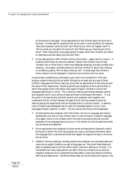#### "El gusto" of Language and Literacy Development

on the second to last page. Encourage parents to ask children about the pictures in the book. Provide specific questions that can be used in most situations, for example, "Why did [character name] do that?" and "What do you think will happen next?" or "Tell me what you like about this picture?" and "What was your favorite part of the story?" Most importantly, encourage parents to begin when their children are infants to read books and talk about pictures with them.

✎ Encourage parents to offer children writing instruments – paper, pencils, crayons – in locations where they can easily be reached. Explain that children may at times "scribble" two or three lines or make more elaborate drawings, but each scribble has a meaning. Once again, motivate parents to ask their children to about their drawing or scribbles by saying "Tell me about what you did." Provide ways that children's home creations can be displayed in classroom environments and vice versa.

A second step is establishing a philosophy upon which any household or child care program supports being bicultural and/or bilingual as an asset and as a way to foster children's language and literacy learning, along with an appreciation of who they are and the value of their experiences. Assisting parents and caregivers to form partnerships in which they equally share information and support Hispanic children's cultural and language experiences is critical. This is done by creating partnerships between parents and caregivers which use a variety of ways and levels to exchange information. It is at this point in the partnership that both parents and caregivers work together and understand that all children between the ages of birth and five possess *el gusto* for learning along with experiences that are founded within a cultural context. In addition, Latino children have developed a set (or sets) of knowledge based on one or more languages (English, Spanish, or both). The two cannot and should not be separated.

- ✎ Provide parents and caregivers with information not only on language and literacy development, but also on how children learn to communicate in a specific language. Once again, there is a lot of detail within this text to provide simple yet concrete examples of how language learning occurs in the context of cultural experiences that can be shared and explained.
- ✎ Encourage parents and caregivers to share words and expressions frequently used in the home or within the child care program as a way to exchange information about the language that is used and activities that happen throughout the day in the home and at school.
- Establish "sharing meetings" whereby parents and caregivers can exchange ideas and resources to support traditions as well as language use. Document these ideas and begin to develop ways to do them either within classroom settings or at home. It is remarkable how many ideas parents can offer if they are invited to do so and how receptive caregivers are to implementing these ideas in ways that advance children's learning and experiences. Sometimes these ideas can be as simple as bringing in CDs

Page 26 NCLR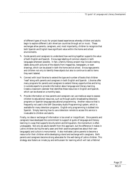of different types of music for project-based experiences whereby children and adults begin to explore different Latin American countries through art or music. These exchanges allow parents, caregivers, and, most importantly, children to recognize that both Spanish and English have significant value within the home and school environments.

- ✎ Guide parents and caregivers to understand how working together supports the value of both English and Spanish. Encourage labeling of common objects in both languages whenever possible. In fact, a family literacy project may include creating labels along with pictures of the objects from magazines, newspapers, or even drawings, which can be placed in both the home and at school. Encourage parents and children not only to identify these objects but also to continue to add to items they want labeled.
- ✎ Connect with local libraries to extend the type and number of books that children "read" along with parents and caregivers in both English and Spanish. Libraries offer many programs for parents and caregivers to extend literacy opportunities and bring in outside experts to provide information about language and literacy learning. Create a classroom calendar that identifies these resources in English and Spanish, which can be shared on a monthly basis.
- ✎ Provide information on how parents and caregivers can use media as ways to expose children to educational resources, such as through public broadcasting television programs or Spanish-language educational programming. Another resource that is frequently not used is the SAP (Secondary Audio Programming) system, which is available for many television programs. English-only programming is dubbed into Spanish. Simply learning how to use a television remote to access this service is invaluable to children and adults.

Finally, no idea or exchange of information is too small or insignificant. Once parents and caregivers have developed the commitment to support *el gusto* of language and literacy learning in a way that supports biculturalism and bilingualism, the momentum is often unstoppable. Not only do adults benefit from this approach, but the difference it makes in Latino children during the early years and their positive perspectives about their own language(s) and culture is monumental. It also motivates Latino parents to become a resource for their children while developing a bond and exchange with caregivers. Both parents and caregivers become strong advocates for the well-being of Latino children. This strategy also fosters an innate joy and enthusiasm for learning which will last a lifetime!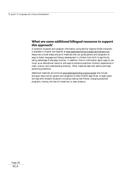# **What are some additional bilingual resources to support this approach?**

A collection of parent and caregiver information using familiar *Sesame Street* characters is available in English and Spanish at www.sesameworkshop.org/educationalresources. Resources include videos and print materials that can guide parents and caregivers on ways to foster language and literacy development in children from birth to age five by taking advantage of everyday routines. In addition, there is information about ways to use music as an educational resource, and ways to enhance preschool children's experiences in math, science, and understanding diversity. Other materials deal with asthma and lead poisoning prevention.

Additional materials are online at www.sesameworkshop.org/youcanask and include bilingual resources for parents and caregivers to help children ages three- to eight-yearsold cope with stressful situations including making new friends, changing preschool programs, moving, the loss of a loved one, or peer pressure.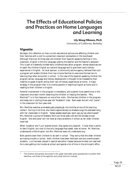# The Effects of Educational Policies and Practices on Home Languages and Learning

**Lily Wong Fillmore, Ph.D.**

University of California, Berkeley

# **Vignette**

We begin this reflection on how current educational policies are affecting children and their families with a visit to a preschool classroom somewhere in the Southwest. Although there are 15 three-year-old children from Spanish-speaking families in this classroom, English is the only language used by the teacher and the teacher's assistant. This is part of a federally-funded early childhood education program, whose objectives are to teach the children English as a second language and to give them early literacy experiences in English. Its local sponsor, a community service agency, believes that such a program will enable children from low-income families to overcome the barriers to learning they often encounter in school. In the case of the Spanish-speaking children the program serves, language and literacy development is thought to be impeded by their inability to speak English and by their lack of literacy experiences at home. A major strategy in the program then is to involve parents in teaching English at home and in reading to their children in English.

Parental involvement in the program is mandatory, and a parent must spend time in the classroom once each month observing the children or helping the teacher. "Mrs. Martínez"\* is in the classroom on one of her visits. She has two children in the program, and today she is visiting three-year-old "Anabela's" class. Next week she will visit "Javier" in the classroom for four-year-olds.

Mrs. Martínez watches as Anabela pats playdough into tortillas at one of the learning centers. During circle time, she listens appreciatively as Anabela sings the alphabet song with her classmates in English: "eybee seedee eeyef gee, eytch aye jay kay eleminopee!" Mrs. Martínez is proud of Anabela; she's just three years old and she already knows English. She and Javier will not have as many problems in school as her older children have had.

When "Josefina" and "Luis" started school, they spoke only Spanish. It took them a while to learn English, but now it's the only language they speak, even at home. Mr. Martínez understands a little English, but Mrs. Martínez does not understand any.

Both parents want their children to do well in school. They worry that the older children are having trouble in school. Both children have been held back and are unenthusiastic students. Luis has been placed in special education classes because he does not read well. He is also getting into trouble at school and spends a lot of time in the principal's office.

The children and parents discussed in this paper have been given pseudonyms to protect their identities, and those of the agencies and school districts involved.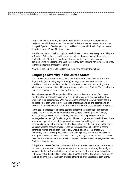The Effects of Educational Policies and Practices on Home Languages and Learning

During this visit to the class, the teacher reminds Mrs. Martínez that she should be reading to her children at home. The teacher's aide translates for the teacher who does not speak Spanish. "Teacher says if you read books to your children in English, they will do better in school," Mrs. Martínez is told.

Mrs. Martínez sighs. She has bought some children's books at the grocery store. They are in English. Before she can read them to her children, however, she will have to learn English herself. She will try; she knows that she must. She is having trouble communicating with Josefina and Luis because they don't listen to her anymore. They say they don't understand what she is saying.

We will, in the end, return to the Martínez family and consider their plight.

## **Language Diversity in the United States**

The United States is one of the most diverse nations on the planet, and yet it is more linguistically (and in many ways culturally) homogeneous than most societies. It is possible to travel from border to border, from ocean to ocean, without running into a situation where one would need to speak a language other than English. This is not to say that other languages are not spoken by Americans.

As a nation composed of immigrants and the descendents of immigrants from many countries, the United States has a great diversity of people with languages other than English in their backgrounds. With few exceptions, most of those who initially spoke a language other than English have learned to understand English and become English speakers. In many if not most cases, they have lost their primary language in the process.

In the past, the process of language loss took place over three generations (Fishman, 1966). The first generation of immigrants who came to the U.S. speaking German, French, Italian, Spanish, Slavic, Chinese, Vietnamese, Tagalog, Russian, or other languages learned enough English to get by. The second generation, the children of those immigrants, spoke their ethnic language at home and learned English at school, becoming bilingual in the process. The third generation was the one in which the ethnic language was lost; because it was not used for the socialization of children in secondgeneration homes, the children learned only English at home. This process was remarkably similar across groups (while such languages may continue to be spoken in immigrant enclaves, only rarely are they spoken by third-generation members). It would seem that the American experience does not support the retention of languages other than English, at least for long.

This pattern, however familiar, is changing. It has accelerated over the past decade and a half to a point where not only the second-generation members are losing the immigrant language (Portes & Rumbaut, 2001), so too are members of the immigrant generation (Fillmore, 1991a, 1991b, 2000; Hinton, 1999; Kouritzin, 1999). The younger members of the first, or immigrant, generation are losing their first language often as soon as they

Page 30 NCLR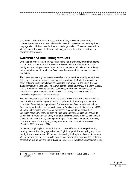enter school. What has led to the acceleration of loss, and should policy-makers, children's advocates, and educators be worried about it? How does the loss of a primary language affect children, their families, and the larger society? These are the questions I will address in this paper. In the end, I will suggest some steps that can be taken to ameliorate the problem.

# **Nativism and Anti-Immigrant Acts**

Over the past two decades, there has been a rising tide of animosity toward immigrants, despite their contributions to U.S. society. Between 1981 and 1998, 15 million new immigrants and refugees were admitted to the United States officially, and according to the Immigration and Naturalization Service another seven million entered the country unofficially.

The presence of so many newcomers has evoked the strongest anti-immigrant sentiment felt in this nation of immigrant origins since the heyday of the Nativist movement (a policy of favoring native inhabitants as opposed to immigrants) in the 1800s (Higham, 1988; Bennett 1988; Cose, 1992) when immigrants – especially from Asia, Eastern Europe, and Latin America – were persecuted, slaughtered, and banned. While direct acts of hostility and bigotry are no longer tolerated in U.S. society, these sentiments are nonetheless expressed in innumerable ways.

The most notable has been voter initiatives, such as those in California over the past 20 years. California has the largest immigrant population in the country – immigrants constitute 26% of its total population (U.S. Census Bureau, 2000) – and most children from immigrant families need help with learning English in school. Since the mid-1970s, when the California legislature passed the Chacon-Moscone Bilingual-Bicultural Education Act of 1976† many children who did not understand English well enough to benefit from instruction given solely in English have been able to attend school and take classes in both their primary language and English. These education programs quickly became the target of U.S. English, an organization for the new Nativist movement (Crawford, 1992, Nunberg, 1997).

In 1986 U.S. English placed a voter initiative on the California ballot, Proposition 63, banning the use of any language, other than English, in public life and giving any citizen the right to sue government officials for not enforcing the English-only rule. A stunning 74% of the voters in this diverse state voted to pass the initiative to amend the California constitution, excluding from public discourse the 31.5% of the state's residents who spoke

<sup>†</sup> The Chacon-Moscone Bilingual-Bicultural Education Act of 1976 (Educ. Code, § 52160, §52176).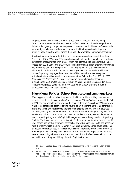languages other than English at home.<sup>†</sup> Since 1986, 27 states in total, including California, have passed English-only laws (Crawford, 1992). In California, Proposition 63 did not in fact greatly change the way people do business, but it did give confidence to the anti-immigrant elements in the state. Having voiced their opposition to linguistic diversity in the state, the voters turned their hostility toward the immigrants themselves.

A series of anti-immigrant voter initiatives have been proposed and passed since then: Proposition 187 in 1994, by a 59% vote, abolishing health, welfare, social, and educational services for undocumented immigrants (which was later found to be unconstitutional); Proposition 209 in 1996, by a 54% vote, abolishing affirmative action programs for women and minorities; and finally Proposition 227 in 1998, by a 61% vote, to end bilingual education in California, which appears to be a major factor in the accelerated loss of children's primary languages these days. Since 1998, two other states have passed initiatives that are either identical or more severe than California's Prop. 227. In 2000, Arizona passed Proposition 203 by a 63% vote, which prohibits native-language instruction for most limited-English-proficient children in public schools; and in 2003, Massachusetts passed Question 2 by a 70% vote, which strictly prohibits the use of bilingual education in its public schools.

# **Educational Policies, School Practices, and Language Loss**

What happens to children when they are required to put aside what they have learned at home in order to participate in school? As an example, "Simon" entered school in the fall of 1998 as a five-year-old, just a few months after California's Proposition 227 became law. While some school districts tried to find ways to delay implementing the law, others such as the one Simon and his brothers attended were eager to comply. The initiative was passed in June; by September Simon's school had eliminated all bilingual programs from its offerings. Simon's parents, let's call them "Mr. and Mrs. Flores," were told that Simon would be participating in an all-English kindergarten class, although he did not speak any English. The Flores family had been living in California since emigrating from Mexico 12 years earlier, and neither of Simon's parents had learned enough English to be fluent,§ nor were they comfortable speaking it. When Mrs. Flores asked why Simon could not be in a bilingual kindergarten class as his brothers had been, she was told that Simon needed to learn English – not more Spanish. She was further told, without explanation, that there were no more bilingual programs in the school, and that if the family wanted Simon to succeed in school they should help him with English at home.

U.S. Census Bureau, 1990 data on languages spoken in the home of persons 5 years of age and older. ††

<sup>§</sup> Because they did not know English when they first arrived in the United States, neither Mr. nor Mrs. Flores could find jobs other than those which were low-paying and which required them to work long hours, leaving them little time to take English classes.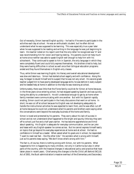Out of necessity, Simon learned English quickly – he had to if he were to participate in the activities each day at school. He was an enthusiastic student, but he often did not understand what he was supposed to be learning. This was especially true a year later when he was supposed to be reading and writing in the language he was just beginning to learn. His teacher noted on his report card that the only letter he recognized was "o" and was recommending him for vision and hearing testing. His parents could not help much at home since neither was able to speak English well enough to help him with his schoolwork. They continued to speak to him in Spanish, the only language in which they were completely fluent and could fully express themselves. His brothers tried to help, but they were having difficulties in school as well once their bilingual education programs ended and they found themselves in English-only classes.

Thus, while Simon was learning English, his literacy and overall educational development was slow and laborious. Simon had started school eagerly and with confidence. Along the way, he began to doubt himself and to suspect that he was not very smart. His second-grade teacher judged him to have poorly-developed language skills; he was behind in every subject and he needed help at home in addition to the help he was receiving at school.

Unfortunately, there was little that the Flores family could do for Simon at home because, in the three years since entering school, he had stopped speaking Spanish and was quickly losing the ability to understand it. He still understood enough to get by at home when family members were communicating with one another. But with his Spanish rapidly eroding, Simon could not participate in the lively discussions that went on at home. In short, he was cut off at school because his English was not developing adequately to handle the instructional activities he was expected to learn from, and he was often cut off at home because he could not understand what his parents and brothers were saying when the conversations went beyond the everyday business of the home and family.

Simon is loved and protected by his parents. They worry about his lack of success in school and do not understand what happened to the bright and spunky little boy they sent off to school just five and a half years earlier. He has become apprehensive and timid about speaking. His English is adequate for everyday communication, and he can joke and tease with any English-speaker he comes across. But he cannot express himself easily on topics that go beyond his everyday experiences at home and at school. He had no confidence in himself as a reader. When asked what his goals are in school, he responded: "I want to read real fast – like the other kids." He wonders what is wrong with himself, just as his parents keep saying, "We don't know what's wrong with him."

The fact is, of course, there is nothing wrong with Simon, nor with his parents. What happened to him is happening to many children, not only in California but also in other parts of the country, with the massive changes in educational policy and practice that have taken place in recent years. Chief among the changes is the No Child Left Behind (NCLB) Act of 2001, the Bush administration's massive overhaul of the Elementary and Secondary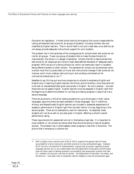#### The Effects of Educational Policies and Practices on Home Languages and Learning

Education Act legislation. It holds school districts throughout the country responsible for raising achievement test scores for all groups of students, including children who are classified as English learners. That in and of itself is not such a bad idea, since districts do not always provide adequate instructional support for such students.

The problem lies in the harshness of the consequences for schools when test scores do not rise for all groups. If even one group of students fails to make the benchmarks for improvement, the school is in danger of penalties. Schools that fail to demonstrate that test scores for all subgroups are rising to meet state-defined standards of "adequate yearly progress" (AYP) are put on a failing schools list, which can eventually result in students being offered transfers to other schools. The penalties for schools can be extremely harsh: a school must first try prescribed curricular and instructional changes if test scores do not improve, and it must undergo restructuring or end up being contracted out for commercial enterprises to run.\*\*

Needless to say, this has put enormous pressures on schools to emphasize English and English-only in teaching English learners like Simon and his brothers, since they tend not to do well on standardized tests given exclusively in English. No one is exempt – not even those who do not speak English. English learners must be assessed in English right from the beginning to determine whether or not they are making progress in acquiring it as a second language.

There are provisions in NCLB for testing students for up to three years in their native languages, assuming there are tests available in those languages. But in California, Arizona, and Massachusetts English learners are included in statewide assessments of academic performance in English right from the start (which is to say, beginning in the second grade). There are no exemptions, even for newcomers. As expected, these students will not do as well on any test given in English, affecting a school's overall performance rating.

These requirements for assessment are not in themselves a bad idea. It is important to know whether or not schools are doing what they should be doing to help all students achieve. The problem lies in what happens when progress is less than it should be. The picture that is emerging is a dismal one.

With a slightly more nuanced view of NCLB, NCLR supports the general idea of strong accountability to drive instruction and other practices to close achievement gaps. However, NCLR has also criticized NCLB implementation, arguing that provisions regarding English language learners (ELLs) are underfunded; that the Department of Education and the states have not taken steps to develop authentic accountability and assessment systems that take ELL students into account; and that all parties – the Department of Education, the states, and the districts – have been slow to implement reforms needed to close the achievement gaps.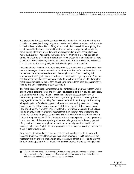Test preparation has become the year-round curriculum for English learners as they are drilled from September through May, when the standardized tests are given to all students on the low-level details and facts of English and math. For these children, anything that is not covered in the tests is removed from the curriculum – subjects such as science, social studies, literature, art, and music have disappeared in schools serving language minority students.†† Apparently, there is no time for anything that is not going to be tested. All that English learners are getting in school these days is English phonics, wordattack skills, English spelling, and English punctuation. Bilingual education, even where it is still possible, has been greatly diminished under pressures from NCLB.

What are children learning from the changes they have experienced at school? They learn that the language of their homes and communities is neither useful nor desirable – it is a barrier to social acceptance and academic learning in school. This is the linguistic environment that English learners now face, and the situation is getting worse. Over the past two years, there has been a renewal of efforts, which were begun in 1988 during the first Bush administration, to use early education to turn children from language minority families into English speakers as early as possible.

The first Bush administration increased funding for Head Start programs to teach English to non-English-speaking three- and four-year-olds, recognizing that it could be done easily and completely at that age. In 1991, a group of children's advocates conducted an informal study examining the effects these programs might have on children's primary languages (Fillmore, 1991a). They found evidence that children throughout the country who participated in English-only preschool programs were putting aside their primary language as soon as they learned enough English to get by, even if their parents spoke little or no English. More than 64% of the families interviewed whose children had been in English-only preschool programs reported that their children were abandoning and losing their primary languages, compared to 47% of the families whose children were in bilingual programs and 26.3% for children in primary-language-only preschool programs. It was clear that children are especially vulnerable to language loss in the early years of life, given the corrosive atmosphere that exists in our society over the retention of languages other than English. In these programs, second-language learning tended to be a highly subtractive process.

Now, nearly a decade and a half later, we are faced with another effort to do away with language diversity, directed through early education programs. Head Start is again the means for turning children into English-only speakers, and this time it is being achieved through testing, just as in K-12. Head Start has been ordered to emphasize English and

<sup>††</sup> Linda McNeil and Angela Valenzuela (2001) documented just such practices and effects in their close examination of what happened in Texas when that state made test scores the basis on which schools and school administrators would be evaluated.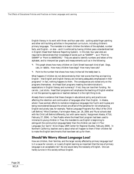English literacy in its work with three- and four-year-olds – putting aside finger painting and other skill-building activities in the preschool curriculum, including children's primary languages. The mandate is to teach children the letters of the alphabet, number facts, and English – or else – and it is enforced by having children pass a standardized test in English (Head Start National Reporting System). In this test, four-year-olds are required to demonstrate their knowledge of words such as "SWAMP" – as in "Point to SWAMP" or "Point to AWARDING." They are asked to identify numbers and letters of the alphabet, and to interpret bar graphs and measurements such as in the following:

- ✎ This graph shows how many children on Clark Street have each kind of pet: Dogs, cats, or rabbits. How many children have dogs? How many have cats?
- Point to the number that shows how many inches tall the teddy bear is.

What happens if children do not demonstrate by their test scores that they are learning English – that English and English literacy are not being adequately emphasized in their programs? In fact, nothing happens to them. The consequences are visited only on the programs themselves. Are Head Start programs meeting the Administration's expectations in English literacy and numeracy? If not, they can lose their funding. No carrots. Just sticks. Head Start programs will emphasize the teaching of English whether or not the sponsoring agencies or teachers believe it is the right thing to do.

Already there is evidence that these changes in educational policy and practice are affecting the retention and continuation of languages other than English. In Alaska, where I have worked, efforts to revitalize indigenous languages like Yup'ik and Inupiaq are being reconsidered because the schools are afraid of the penalties for not emphasizing English exclusively (see, for example, "Native Language Programs Run Afoul of No Child Left Behind," Mike Chambers, *Farmington News*, Jan. 26, 2004; and "Rural schools deal with No Child Left Behind differently, but with same results," *Assignment Alaska*, KTUU, February 27, 2004). In Taos Pueblo where the Head Start program had been used to immerse its young children in Tiwa, the mandate to use English is beginning to extinguish the community's language faster than the children can learn it ("Our Language; Our Spirit," Arcie Chapa, UNM Center for Regional Studies, February 2004). In Northern California, teachers worry about what will happen to them if their children fail to make the English benchmarks that have been set up for them.

# **Should We Worry About Language Loss?**

How are children, their families, and the larger society affected by primary language loss? Is it a cause for concern, or is early English learning so important that the loss of primary language is an acceptable risk? No one would deny the necessity of English. One can hardly survive in this society without English.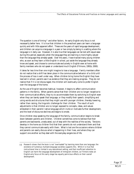The question is one of timing  $\mathbb H$  and other factors. An early English-only focus is not necessarily better here. It is true that children in the preschool years can learn a language quickly and with little apparent effort. These are the years of rapid language development, and children can acquire a language in a year or two simply by being in a setting where the language is in daily use. However, it is also true that languages can be lost with equal ease during this period, especially when the language they are learning is more highly valued than the language they already speak. Over the years, I have tracked many young children who, as soon as they learn a little English in school, put aside the language they already know and speak, and choose to communicate exclusively in English even at home with family members who do not speak or understand much English (Fillmore, 1991b; 2000).

It takes far less time than one might imagine to lose a language. Family members often do not realize that a shift has taken place in the communicative behavior of a child until the process of loss is well under way. When children bring home the English they have learned in school, parents see it as evidence that they are making progress. They do not realize that if it is not discouraged, the children will eventually come to prefer English over the language of the home.

As the use of English becomes habitual, however, it begins to affect communication patterns in the family. When parents sense that their children are no longer receptive to their communicative efforts, they try to accommodate them by switching to English even when they can barely speak that language, or they modify their speech, simplifying and using words and structures that they might use with younger children, thereby lowering, rather than raising, the linguistic challenge for their children. The result of such adjustments is that children are no longer exposed to concepts, ideas, and values embodied in their parents' native language which invite or motivate further development, and the level of discourse declines and begins to erode.

Once children stop speaking the language of the family, communication begins to break down between parents and children. Children sometimes come to believe that their parents are backwards, uneducated, out of step with the realities of the society. Tensions develop in the home as children find that their parents do not understand them and that they cannot communicate easily with them. What is lost are the occasions where children and parents can easily discuss what is happening in their lives, and where they can support one another as they deal with the everyday exigencies of life.

Research shows that the brain is not "overloaded" by learning more than one language; the †† †† existence of numerous multiple-language societies supports this. While it is true that instructional time is limited in any educational setting, and that insufficient attention to English can harm the language development of immigrant children, as Fillmore notes an English-only focus at this early stage has equally pernicious effects on their overall development.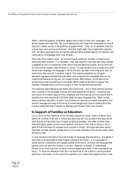When I raise the question of whether people have a right to their own languages, I am almost always reminded that, "No one is saying they can't keep their languages, as long as they don't expect society to do anything to support them. They can do whatever they like in their own communities and homes." And that might seem like a reasonable response – until we take a good hard look at how the odds are being stacked against the retention and continuation of languages other than English.

The truth of the matter is this: all limited-English-proficient children in America will eventually learn English. It is inevitable. How well they do it and how soon they manage it depends on the circumstances under which they are learning English, and on the kind of instructional support they are given in school. To learn English and to retain the use of the primary language, the language in which children can learn what they must learn at home from their parents, is another matter. The massive opposition to bilingual education has demonstrated that even when such programs are mandated, they can be undermined because society will not recognize their effectiveness. At the same time, society should not do anything to counteract efforts made by families to support and maintain language and to continue using it in their homes and communities.

The preschool years belong to the family and community – this is when parents socialize their children in the language, culture, and value system of the family. Imparting that curriculum to children requires time, closeness, and the nuanced communication that is possible only when parents and children speak the same language fully. When society offers preschool education, in which the children are coerced, no matter how gently, into another language and ways of thinking, it comes dangerously close to undercutting the role and responsibilities of parents to educate and influence their own children.

# **In Support of Families as Educators**

Let us return to Mrs. Martínez at her children's preschool center. Here is a parent who wants her children to do well in school and fears they will not succeed if she does not do what she can to help them learn English as early as possible. Her older children have learned English, given up their use of Spanish, and are on their way to losing it, but in spite of that they have not enjoyed much success in school. Bilingual education would have been an ideal solution, except that it is no longer available in the Arizona town where the family lives.

In such situations the family must act to keep its language alive and strong. The adults in the home must take steps to keep English outside of the home – it is a language for school and for interactions with people outside of the home. At home, the language that parents must use with the children is its own—Spanish, or Navajo, or Vietnamese. Parents must insist that their children continue speaking to them in the language of the family. To allow any deviation from this rule would be to risk a shift in communication practices in the home. At the same time, parents must create many opportunities to talk

Page 38 NCLR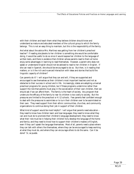with their children and teach them what they believe children should know and understand as mature and educated members of the cultural group to which the family belongs. This is not an easy thing to maintain, but this is the responsibility of the family.

And what about the advice Mrs. Martínez was getting from her children's preschool teacher? If reading storybooks to her children is something she would be comfortable doing, it would be useful to do so since it would expose her children to the language of written texts, and there is evidence that children whose parents read to them at home enjoy some advantages in learning to read themselves. However, a parent who does not speak or understand English should not be advised to read to her children in English. If she can read in Spanish, she should be encouraged to do so. But then, is it reading that matters, or is it the rich and nuanced interaction with ideas and stories that build the linguistic capacity of children?

Can parents do it? I will argue that they can and will, if they are supported and encouraged to see themselves as their children's most important teachers and not as obstacles to their success in school and in life. Increasingly, states are adopting universal preschool programs for young children, but if these programs undermine rather than support the role that parents must play in the socialization of their own children, then we should ask if we can afford them. The family is the heart of society. Any program that undercuts the efficacy of the family to rear its children is too costly to society. But the pressures are limited to the preschool or K-12 schools. Few parents feel confident enough to deal with the pressures to assimilate or to turn their children over to be assimilated on their own. They need support from their ethnic communities, churches, and community organizations to continue doing their job in support of their children.

What kind of support would be most helpful? I will argue that parents need education – they need to know how children learn and lose languages; they need to know what they can and must do to promote their children's language development; they need to know what their role must be in helping their children fully develop the language of the home and family; and they need to know how to support their children's mastery of English, even if they can't speak the language themselves. Most of all, parents need a place where they can talk with others like themselves, where they can be encouraged to keep working at what they must do, and where they can encourage others to do the same. Can it be done? *Sí, se puede.*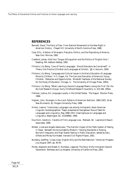The Effects of Educational Policies and Practices on Home Languages and Learning

## **REFERENCES**

- Bennett, David, *The Party of Fear: From Nativist Movements to the New Right in American History*. Chapel Hill: University of North Carolina Press, 1988.
- Cose, Ellis., *A Nation of Strangers: Prejudice, Politics, and the Populating of America*. New York: Morrow, 1992.
- Crawford, James, *Hold Your Tongue: Bilingualism and the Politics of "English Only*." Reading, MA: Addison-Wesley, 1992.
- Fillmore, Lily Wong, "Loss of Family Languages: Should Educators be Concerned?" in *Theory Into Practice (Children and Languages at School), 39*: 4, Autumn, 2000.
- Fillmore, Lily Wong, "Language and Cultural Issues in the Early Education of Language Minority Children," in S. Kagan, Ed. *The Care and Education of America's Young Children: Obstacles and Opportunit*ies. Ninetieth Yearbook of the National Society for the Study of Education. Chicago, IL: The University of Chicago Press, 1991b.
- Fillmore, Lily Wong, "When Learning a Second Language Means Losing the First" (for the No-Cost Research Group), *Early Childhood Research Quarterly*, 6, 323-346, 1992a.
- Fishman, Joshua, Ed. *Language Loyalty in the United States*. The Hague: Mouton Press, 1966.
- Higham, John, *Strangers in the Land: Patterns of American Nativism*, 1860-1925, 2d ed. New Brunswick, NJ: Rutgers University Press, 1988.
- Hinton, Leanne, "Involuntary Language Loss among Immigrants: Asian-American Linguistic Autobiographies." Paper presented at Georgetown Round Table for Languages and Linguistics, May 1998. ERIC Clearinghouse on Languages and Linguistics, Washington DC, ED436982, 1999.
- Kouritizin, Sandra G., *Face(t)s of First Language Loss.* Mahwah, NJ: Lawrence Erlbaum Associates, 1999.
- McNeil, Linda and Angela Valenzuela, "The Harmful Impact of the TAAS System of Testing in Texas: Beneath the Accountability Rhetoric." *Raising Standards or Raising Barriers? Inequality and High Stakes Testing in Public Education*, edited by Gary Orfield and Mindy Kornhaber, Harvard Civil Rights Project, 2001.
- Nunberg, Geoffrey, "Lingo Jingo: English-Only and the New Nativism," *American Prospect*, July-August 1997, pp. 40-44.
- Portes, Alejandro and Rubén G. Rumbaut, *Legacies: The Story of the Immigrant Second Generation*. Berkeley and Los Angeles: University of California Press, 2001.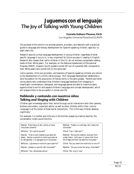# *Juguemos con el lenguaje:* The Joy of Talking with Young Children

#### **Graciela Italiano-Thomas, Ed.D.**

Los Angeles Universal Preschool (LAUP)

The purpose of this article is to provide parents, providers, and teachers with a practical guide to language and literacy development for Spanish-speaking children, ages four to eight years old.

Research assures us that language development in young children, regardless of what specific language it occurs in, is very important for future success in reading in English.<sup>1</sup> Research also reveals that Latino children in the U.S. do not achieve comparable reading levels of their White peers. For example, on the National Assessment of Educational Progress (NAEP), Hispanic fourth-graders scored 197 out of a possible 500, compared to their White peers who scored 225 on the same test.<sup>1</sup>

Latino parents, child care providers, and teachers of Spanish-speaking children are central to the development of a child's native tongue. Rich language development establishes a solid foundation for the acquisition of literacy skills in the early grades. Parents and other caring adults who understand that children's language develops from engaging in meaningful conversations, dialogues, and language games are able to maximize daily opportunities to enrich and expand children's language and concept development, which will prepare them to be successful in school and life.

# **Hablando y cantando con nuestros niños Talking and Singing with Children**

Children gain knowledge about their world through social interactions with their parents, brothers and sisters, important adults, as well as other children within their culture. Language is at the center of these social interactions. This is the way children develop cognitively.2

For example, if a mother and child are in the kitchen preparing a family favorite, the conversation might sound like this:

| Mamá: "Está fresco el día, vamos a hacer<br>chocolate caliente."                                                                                | <b>Mother:</b> "Today is a cold day, let's make hot<br>chocolate."                                                                        |
|-------------------------------------------------------------------------------------------------------------------------------------------------|-------------------------------------------------------------------------------------------------------------------------------------------|
| <b>Niño(a):</b> " <i>i</i> En qué te ayudo?"                                                                                                    | <b>Child:</b> "Can I help you?"                                                                                                           |
| <b>Mamá:</b> "Trae la olla mediana que está ahí<br>abajo. Vamos a ponerle la leche que está en<br>el refrigerador y le agregamos el chocolate." | <b>Mother:</b> "Bring the medium size pot from<br>under there. Let's pour in some milk from<br>the fridge and then we add the chocolate." |
| <b>Niño(a):</b> "¿Quieres el molinillo para batirlo?"                                                                                           | <b>Child:</b> "Do you want the <i>molinillo</i> to mix it?"                                                                               |
| <b>Mamá:</b> "¿Sabes la canción del chocolate?"                                                                                                 | <b>Mother:</b> "Do you know the song, chocolate?"                                                                                         |
| Niño(a):" No. cántamela ahora."                                                                                                                 | <b>Child:</b> "No, sing it now."                                                                                                          |
|                                                                                                                                                 |                                                                                                                                           |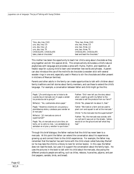| "Uno, dos, tres, CHO<br>uno, dos, tres, CO<br>uno, dos, tres, LA<br>uno. dos. tres. TE | "One, two, three, CHO<br>one, two, three, CO<br>one. two. three. LA<br>one, two, three, TE |
|----------------------------------------------------------------------------------------|--------------------------------------------------------------------------------------------|
| <b>CHOCOLATE, CHOCOLATE</b>                                                            | CHOCOLATE, CHOCOLATE                                                                       |
| bate y bate el chocolate."                                                             | beat and beat the chocolate."                                                              |

This mother has taken the opportunity to teach her child a song about chocolate as they sing together and stir this special drink. This simple activity stimulates a child's natural playfulness with language and provides a verse with rhyme, rhythm, and repetition, all helpful ways for a young child to learn and remember new words and phrases. A parent can also introduce the use of the *molinillo de chocolate* (a wooden stick with several wooden rings in one end, especially used in Mexico to stir the chocolate and often present in kitchens of Mexican families).

Parents and other adults in the family can create opportunities to talk with children about family traditions and tell stories about family members, and use these to extend the child's language. For example, a conversation between father and child might go like this:

| <b>Papá:</b> "¿Te conté alguna vez la historia de<br>cuando iba al mercado con mi papá a vender<br>los productos de la granja?"                      | <b>Father:</b> "Did I ever tell you the story about<br>when I used to go with my father to the<br>mercado to sell the produce from our farm?"                      |
|------------------------------------------------------------------------------------------------------------------------------------------------------|--------------------------------------------------------------------------------------------------------------------------------------------------------------------|
| <b>Niña(o):</b> " No, cuéntamela ahora papá."                                                                                                        | <b>Child:</b> "No, please tell me about it, Dad."                                                                                                                  |
| <b>Papá:</b> "Nosotros vivíamos en una granja y<br>plantábamos elote y calabaza para vender en<br>el mercado."                                       | Father: "We lived on a farm and we used to<br>plant corn and squash to sell at the <i>mercado</i> ."                                                               |
|                                                                                                                                                      | <b>Child:</b> "Is the <i>mercado</i> like the supermarket?"                                                                                                        |
| $N$ iña(o): "¿El mercado es como el<br>supermarket?"                                                                                                 | <b>Father:</b> "No, the <i>mercado</i> was outside, with<br>no roof and it was just on the streets. Sellers<br>would sit on the ground and sell what they<br>had." |
| <b>Papá:</b> "No, el mercado era al aire libre, sin<br>techo, en la calle no más. Los vendedores se<br>sentaban en el piso y vendían lo que traían." |                                                                                                                                                                    |

Through this brief dialogue, the father realizes that the child has never been to a *mercado*. At this point the father can extend the conversation about his experiences growing up and connect them to the child's experiences. For example, the father may remember that the teacher has sent home with the child a book called *Saturday Market<sup>®</sup>* (or he may take the child to a library to look for similar books). In this case, the father does not read the book, but uses it to support the conversation about the family topic. He uses the pictures in the book to talk with his child about the *mercado*, discussing the different products people are selling, such as *chiles, rebozos, huaraches, pájaros,* and *pan* (hot peppers, sandals, birds, and bread).

Page 42 NCLR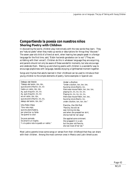# *Compartiendo la poesía con nuestros niños* **Sharing Poetry with Children**

In discovering the world, children play instinctively with the new words they learn. They are "natural poets" when they make up words or descriptions for things they "discover." The seven-year-old child of a friend at work, when hearing two people speak in a foreign language for the first time, said, "*Están haciendo garabatos con la voz*" ("They are scribbling with their voices"). Children do this in whatever language they are acquiring, and parents should not only be aware of these wonderful moments, but also encourage and celebrate them. Making up and sharing poems with children is a wonderful way to encourage playfulness with language, besides enjoying a lighthearted moment together.

Songs and rhymes that adults learned in their childhood can be used to introduce their young children to the simple elements of poetry. Some examples in Spanish are:

#### *Debajo del Botón*

*"Debajo del botón, tón, tón, que encontró Martín, tín, tín había un ratón, tón, tón. Ay, qué chiquitín, tín, tín. Ay, qué chiquitín, tín, tín era el ratón, tón, tón, que encontró Martín, tín, tín, debajo del botón, tón, tón."*

#### *Una Rata Vieja*

*"Una rata vieja, que era planchadora, por planchar su falda !se quemó la cola!*

*Se puso pomada. Se amarró un trapito. Y a la pobre rata le quedó un rabito."*

#### Under a Button

"Under a button, ton, ton, ton, found by Uncle Martin, tin, there was mouse Patón, ton, ton, ton, playing tin, tin, tin, tin, tin. Playing tin, tin, tin, tin, tin, there was mouse Patón, ton, ton, found by Uncle Martin, tin, under a button, ton, ton, ton."

#### Pancha, the Old Rat

"Pancha, the old rat was ironing one day, and when she pressed her skirt, she burned her tail away!

She applied some ointment. She wrapped it in a veil, but the poor old Pancha, she lost most of her tail."

Most Latino parents know some songs or verses from their childhood that they can share with their children. Among the most common ones in Mexico and Latin America are: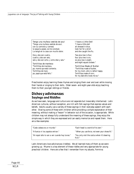| I have a Little Doll              |
|-----------------------------------|
| "I have a little doll             |
| all dressed in blue.              |
| took her for a stroll             |
| and she caught the flu.           |
| Two plus two is four,             |
| four plus two is six,             |
| six plus two is eight,            |
| and eight equals sixteen."        |
| <b>Tortillitas Made of Butter</b> |
| "Tortillitas made of butter.      |
| for my mom, who is rather happy.  |
| Tortillitas made of corn,         |
| for my dad who loves me so."      |
|                                   |

Preschoolers enjoy learning these rhymes and singing them over and over while moving their hands or singing to their dolls. Older seven- and eight-year-olds enjoy teaching them to their younger siblings or friends.

# *Dichos y adivinanzas* **Sayings and Riddles**

As we have seen, language and culture are not separate but inexorably intertwined. Latin American cultures, without exception, are rich with folk sayings that express values and beliefs. Adults usually use a variety of these sayings in their everyday speech with each other. Sharing some of these with children while providing a simple explanation of their meaning, without making a "lesson" in behavior out of the occasion, is appropriate. While children may not always fully understand the meaning of these sayings, they enjoy the simple way in which they are expressed and can easily memorize and repeat them. Here are a few examples:

| "Cada cabeza es un mundo."                     | "Each head is a world of its own."                      |
|------------------------------------------------|---------------------------------------------------------|
| "A fuerza ni los zapatos entran."              | " When you use force, not even your shoes fit."         |
| "Al nopal sólo lo van a ver cuando hay tunas." | "You only visit the cactus when it's bearing<br>fruit." |

Latin Americans love *adivinanzas* (riddles). We all learned many of them as we were growing up. Rhyme is a key element of these riddles and very appropriate for young preschool children. Here are a few that I remember from my *abuela*, Fermina: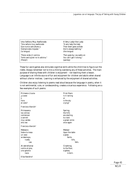| Una Señora Muy Aseñorada         | <b>A Very Lady-like Lady</b> |
|----------------------------------|------------------------------|
| "Una señora muy aseñorada        | "A very lady-like lady       |
| Que nunca sale afuera y          | That never goes outside      |
| Siempre esta mojada."            | And is always bathing."      |
| (la lengua)                      | (the tongue)                 |
| "Perez anda Jil camina           | "Pars goes by, Ley walks on  |
| Tonto será quien no lo adivina." | You can't get it wrong."     |
| (Perejil)                        | (parsley)                    |

These fun word games also stimulate cognitive skills while the child tries to figure out the riddle. Always remember not to tire a child by overdoing any of these activities. The main purpose of sharing these with children is enjoyment – not teaching them a lesson. Language is an infinite source of fun and enjoyment for children and adults when shared without ulterior motives. Learning is enhanced by the enjoyment of shared activities.

Children also enjoy listening to poems read aloud because the language in poetry, when it is not sentimental, cute, or condescending, creates a vicarious experience. Following are a few examples of such poems:

| Primera Lluvia                 | <b>First Rain</b> |
|--------------------------------|-------------------|
| ¿Llueve                        | Is it raining     |
| 0                              | <b>or</b>         |
| <i>llora</i>                   | is the sky        |
| el cielo?                      | crying?           |
| Francisco Alarcón <sup>4</sup> |                   |
| <b>Primavera</b>               | <b>Spring</b>     |
| las colinas                    | the hills         |
| comienzan                      | are starting      |
| a sonreir                      | to crack          |
| muy verdes                     | a green smile     |
| otra vez                       | once again        |
| Francisco Alarcón <sup>5</sup> |                   |
| <b>Meteoro</b>                 | <b>Meteor</b>     |
| Sobre la mesa                  | Upon the table    |
| un vaso                        | a glass           |
| se desmaya,                    | faints.           |
| rueda.                         | rolls.            |
| cae.                           | falls.            |
| <b>Al</b> estrellarse          | <b>Crashing</b>   |
| contra el piso,                | to the floor,     |
| una galaxia                    | a galaxy          |
| nace.                          | is born.          |
| Elías Nandino <sup>6</sup>     |                   |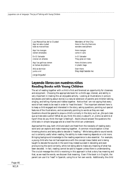*Las Maravillas de la Ciudad Aquí en esta ciudad todo es maravilloso*

*Aquí los mangos vienen enlatados*

*En El Salvador crecían en árboles*

*Aquí las gallinas vienen en bolsas de plástico*

*Allá se dormían junto a mí*

Jorge Argueta<sup>7</sup>

#### Wonders of the City

Here in the city there are wonders everywhere

Here mangos come in cans

In El Salvador They grew on trees

Here chickens come in plastic bags

Over there they slept beside me

# *Leyendo libros con nuestros niños* **Reading Books with Young Children**

The act of reading together with a child is first and foremost an opportunity for closeness and enjoyment. Choosing the appropriate book for a child's age, interest, and ability is very important in making this an enjoyable activity. Looking at illustrations in picture storybooks and talking about stories is a natural extension of parents and children talking, singing, and telling rhymes and riddles together. Notice that I am not saying that every word of text needs to be read in order to "read the book." The important element here is to keep a child engaged and interested in the story, asking questions, pointing out special features of the illustrations, and occasionally pointing to words as they are read. Questions should be geared to pique a child's curiosity in the story such as: *¿De qué crees que se trate este cuento?* (What do you think this story is about?), or *¿Cómo se sentirá el tigre?* (How do you think the tiger is feeling?). Adults should answer the questions the child asks in simple language and at a level the child can understand.

Approached this way, both child and adult are freed from the necessity of reading every word and can explore and make meaning together. A common misconception is that knowing phonics and being able to decode is "reading." While being able to sound words out is certainly useful when reading, the ability to make meaning depends on a lot more. Bringing background knowledge to the reading experience is also essential. For example, a young child who has not had experience with the concept *mesa* (table) and is being taught to decode the sounds in the word may indeed succeed in decoding and even pronouncing the word correctly, while not being able to make any meaning of what has been decoded. In fact, reading cannot be said to happen unless there is understanding. The crucial message the child is receiving in this approach is that a story has meaning and that, as we read the words, we discover that meaning. Even if the book is in English, the parent can use it to "read" in Spanish, using his or her own words. Additionally, the child

Page 46 NCLR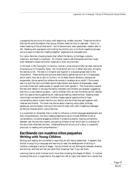is grasping the structure of a story, with beginning, middle, and end. These are the skills that lay the solid foundation that young children need not only to read well – that is, to make meaning of the printed word – but to become avid, even passionate, readers later in life. Reading with expression and inviting the child to join in to finish repetitive phrases are sure ways to make the "reading together" experience an enjoyable one.

For Latino families, choosing books that reflect the family, its heritage, customs, traditions, and foods is important. All children need to see themselves and their loved ones reflected in books and other materials in their environment.

In the book *In My Family/En mi familia*, Carmen Lomas Garza<sup>8</sup> briefly narrates memories of growing up in Kingsville, Texas. Her illustrations are rich in detail and color, bringing the stories to life. The text is in English and Spanish in a double spread next to the illustrations. These stories and pictures evoke family gatherings such as in *Empanadas*, which starts "*Una vez al año mi tía Paz y mi tío Beto hacían docenas y docenas de empanadas, dulces panecillos rellenos de camote o calabaza de su jardín*" ("Once every year my aunt Paz and uncle Beto would make dozens and dozens of empanadas, sweet turnovers filled with sweet potato or squash from their garden"). The illustrations extend the text with details in the way the family members and children are dressed, suggesting that this is a very festive occasion. Latino children from all over the Americas will identify with this special family gathering for making and eating a favorite food. Reading these charmingly narrated stories with children creates special opportunities to have conversations about *nuestra familia* (our family) and the times they get together with relatives and friends. This book has stories about cleaning cactus pads, birthday barbecues, and the healer coming to the home to help mom with a rebellious teenager – all familiar themes within Latino families.

It is important to remember that in order to influence a child's language development and story comprehension, the story-reading experience has to include different kinds of conversations, including engaging children in predicting events, making connections between real life and story events, and asking children to tell which part or character of the story they liked best and why. Understanding the structure of a story is a powerful precursor to reading and comprehension.9

# *Escribiendo con nuestros niños pequeños* **Writing with Young Children**

Writing and reading are connected in ways that are still being researched. It appears that, similar to acquiring a language and learning to read, the development of writing in children undergoes a series of stages. Young children do not distinguish between drawing and writing, and they will tell you what their drawings "say" if you ask them.

Learning how to write involves much more than knowing the shapes of letters. It involves knowing that print is organized on the page from left to right; that letters form words that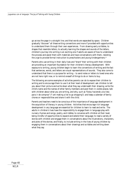go across the page in a straight line; and that words are separated by space. Children gradually "discover" all these writing conventions and more if provided with opportunities to understand them through their own experiences. From drawing early scribbles, to shapes that resemble letters, to actually learning the shapes and sounds of the letters, children's journey into writing is an exciting one if adults are aware of how to understand the process and assist them with materials and have conversations with them, resisting the urge to provide formal instruction to preschoolers and young kindergartners.<sup>10</sup>

Parents who use writing in their daily lives and "share" their writing with their children are providing an important foundation for their children's literacy development. With exposure to writing, young children begin to learn the conventions of writing and the fact that sentences, words, and letters are visual representations of sounds. They also come to understand that there is a purpose for writing – to send notes or letters to loved ones who are not here right now, or to remind oneself of things to do or items to buy.

The following are some examples of activities parents can do to expose their children to writing and to encourage them to use it at their level of development: ask children to tell you about their picture and write down what they say underneath their drawing; write the child's name and the names of other family members and post them in visible places; talk with children about what you are writing, and why, such as "*Estoy haciendo una lista para ir de compras*" ("I am making a list to go shopping"); and keep a calendar of family chores or responsibilities and share it with the child.

Parents and teachers need to be conscious of the importance of language development in the acquisition of literacy in young children. Activities that encourage rich language development in any language are essential for children to learn to read and write. The adults in children's lives have the responsibility to engage them in language play with nursery rhymes and songs, poetry, and riddles; to converse with children at their level, being mindful of opportunities to expand and extend their language; to read a variety of stories with children and engage them in conversations about the illustrations, characters, and plots of the stories; and finally, to include writing in the lives of young children by engaging them in conversations about their drawings and scribbles and writing down what they say.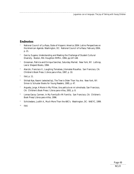# **Endnotes**

- <sup>1</sup> National Council of La Raza, *State of Hispanic America 2004: Latino Perspectives on the American Agenda*. Washington, DC: National Council of la Raza, February 2004, p. 21.
- <sup>2</sup> García, Eugene, *Understanding and Meeting the Challenge of Student Cultural Diversity*. Boston, MA: Houghton Mifflin, 1994, pp.147-148.
- <sup>3</sup> Grossman, Patricia and Enrique Sanchez, *Saturday Market*. New York, NY: Lothrop, Lee & Shepard Books, 1994.
- <sup>4</sup> Alarcón, Francisco X., *Laughing Tomatoes, Jitomates Risueños*. San Francisco, CA: Children's Book Press / Libros para niños, 1997, p. 10.
- <sup>5</sup> *Ibid*, p. 11.
- <sup>6</sup> Shihab Nye, Naomi (selected by), *The Tree Is Older Than You Are*. New York, NY: Simon & Schuster Books for Young Readers, 1995, p. 47.
- <sup>7</sup> Argueta, Jorge, *A Movie in My Pillow, Una película en mi almohada*. San Francisco, CA: Children's Book Press / Libros para niños, 2001, p. 8.
- <sup>8</sup> Lomas Garza, Carmen, *In My Family/En Mi Familia*. San Francisco, CA: Children's Book Press/ Libros para niños, 1996.
- <sup>9</sup> Schickedanz, Judith A., *Much More Than the ABC's*. Washington, DC: NAEYC, 1999.
- <sup>10</sup> *Ibid*.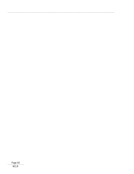Page 50 NCLR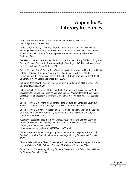# Appendix A: Literary Resources

Adams, Marilyn, *Beginning to Read: Thinking and Learning About Print*. Cambridge, MA: MIT Press, 1990.

Armbruster, Bonnie B., Fran Lehr, and Jean Osborn, *Put Reading First: The Research Building Blocks for Teaching Children to Read*. Ann Arbor, MI: University of Michigan School of Education, Center for the Improvement for Early Reading Achievement, September 2001.

Bredekamp, Sue, ed., *Developmentally Appropriate Practice in Early Childhood Programs Serving Children From Birth Through Age Eight*. Washington, DC: National Association for the Education of Young Children, 1987.

Buysse, Virginia, Dina C. Castro, Tracy West, and Martie L. Skinner, "Addressing the Needs of Latino Children: A National Survey of State Administrators of Early Childhood Programs, Executive Summary." Chapel Hill, NC: FPG Child Development Institute, The University of North Carolina at Chapel Hill, 2004.

*California Report Card: Focus on Children in Immigrant Families 2004*. Oakland, CA: Children Now, Sep./Oct. 2004.

California State Department of Education Child Development Division and Far West Laboratory for Educational Research and Development, *Program for Infant and Toddler Caregivers. Infant/Toddler Caregiving: A Guide to Culturally Sensitive Care*, December 1990.

Chang, Hedy Nai-Lin, "Affirming Children's Roots: Cultural and Linguistic Diversity," *Early Care and Education*. Oakland, CA: California Tomorrow, Fall 1993.

Chang, Hedy Nai-Lin, Amy Muckelroy, and Dora Pulido-Tobiassen, *Looking In, Looking Out: Redefining Child Care and Early Education in a Diverse Society*. Oakland, CA: California Tomorrow, 1996.

"Cognitive Aspects of School Learning: Literacy Development and Content Learning," *Improving Schooling for Language-Minority Children: A Research Agenda*, National Academy of Sciences, 1997, 2000.

http://www.nap.edu/openbook/0309054974/html/53.html

Collier, V. and W. Thomas, "How quickly can immigrants become proficient in school English?" *Journal of Educational Issues of Language Minority Students*, Vol. 5, 1989, pp. 26-38.

Chen, Marcia and Laurie Olsen, "Crossing the Schoolhouse Border: Immigrant Students and the California Public Schools." Oakland, CA: California Tomorrow, 1988.

Cummins, Jim, *Empowering Minority Students*. Sacramento, CA: California Association for Bilingual Education, 1989.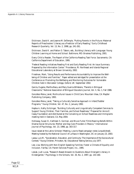Dickinson, David K. and Jeanne M. DeTemple, "Putting Parents in the Picture: Maternal Reports of Preschoolers' Literacy as a Predictor of Early Reading," *Early Childhood Research Quarterly*, Vol. 13, No. 2, 1998, pp. 241-261.

Dickinson, David K. and Patton O. Tabors, eds., *Building Literacy with Language: Young Children Learning at Home and School*. Baltimore, MD: Brookes Publishing, 2001.

*Every Child a Reader*, The Report of the California Reading Task Force. Sacramento, CA: California Department of Education, 1995.

"Federal Reading Initiatives Reading First and Early Reading First: An Issue Summary Prepared by the Information Center." Providence, RI: Northeast and Islands Regional Educational Laboratory at Brown University, 2002.

Friedman, Mark, "Using Results and Performance Accountability to Improve the Wellbeing of Children and Families." Paper edited and abridged for presentation at the Conference on Promoting the Wellbeing and Monitoring Outcomes for Vulnerable Children held in Worcester College, Oxford, UK: September 2002.

García, Eugene, Martha Baca, and Mary Guerra-Willekens, "Parents in Bilingual Classrooms," *National Association of Bilingual Educators Journal*, Vol. II, No. 1, Fall 1986.

González-Mena, Janet, *Multicultural Issues in Child Care*. Mountain View, CA: Mayfair Publishing Company, 1993.

González-Mena, Janet, "Taking a Culturally Sensitive Approach in Infant/Toddler Programs," *Young Children*, Vol. 47, No. 2, January 1992.

Hepburn, Kathy Scitzinger, "Building Culturally and Linguistically Competent Services to Support Young Children, Their Families, and School Readiness," Prepared for Annie E. Casey Foundation and distributed at the Convening on School Readiness and Immigrants meeting held in Oakland, CA, May 2004.

Holloway, Susan D., Kathleen S. Gorman, and Bruce Fuller,"Child-Rearing Beliefs Within Diverse Social Structures: Mother and Day-Care Providers in Mexico," *International Journal of Psychology*, Vol. 23, 1998, pp. 303-317.

Issue raised at the Latino Scholars' Meeting, Love to Read campaign notes (unpublished). Meeting hosted by the National Council of La Raza in Washington, DC on January 23, 2003.

Laosa, Luis M., "Socialization, Education, and Continuity: The Importance of the Sociocultural Context," *Young Children*, Princeton, NJ: Educational Testing Service, July 1977.

Lee, Lisa, *Working with Non-English Speaking Families: Foster a Climate of Equality and Inclusion*. Fairfax, CA: Parent Services Project, Inc., 1995.

Lesiak, Judi Lucas, "Research-Based Answers to Questions About Emergent Literacy in Kindergarten," *Psychology in the Schools*, Vol. 34, No. 2, 1997, pp. 143-160.

Page 52 NCLR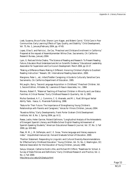#### Appendix A: Literary Resources

Loeb, Susanna, Bruce Fuller, Sharon Lynn Kagan, and Bidemi Carrol, "Child Care in Poor Communities: Early Learning Effects of Type, Quality, and Stability," *Child Development*, Vol. 75, No. 1, January/February 2004, pp. 47-65.

Lopez, Elias S. and Patricia L. De Cos, "Preschool and Childcare Enrollment in California," Prepared at the request of Assemblymember Wilma Chan, Sacramento, CA: California Research Bureau, January 2004.

Lyon, G. Reid and Vinita Chabra, "The Science of Reading and Research: To Prevent Reading Failure, Educators Must Understand and Act on Scientific Evidence," *Educational Leadership*, Association for Supervision and Curriculum Development. March 2004, pp 13-17.

"Making a Difference Means Making it Different: Honoring Children's Rights to Excellent Reading Instruction." Newark, DE: International Reading Association, 2000.

Mangione, Peter L., ed., *Infant/Toddler Caregiving: A Guide to Culturally Sensitive Care*. Sacramento, CA: California Department of Education, 1995.

McLauglin, Barry, "Second Language Acquisition in Childhood," *Preschool Children*, Vol. 1, Second Edition, Hillsdale, NJ: Lawrence Erlbaum Associates, Inc., 1984.

Moreno, Robert P., "Maternal Teaching of Preschool Children in Minority and Low-Status Families: A Critical Review," *Early Childhood Research Quarterly*, Vol. 6, 1991.

Muñoz-Sandoval, A. F., J. Cummins, C. G. Alvarado, and M. L. Ruef, *Bilingual Verbal Ability Tests*. Itasca, IL: Riverside Publishing, 1998.

"Nature for Their Future: The Importance of Strengthening Young Children's Relationships with Parents and Caregivers," *Voices for Illinois Children*, January 2004.

"Nuestros Niños," *Early Developments*, Frank Porter Graham Child Development Institute, Vol. 8, No. 1, Spring 2004, pp. 6-11.

Reese, Leslie, Helen Garnier, Roland Gallimore, "Longitudinal Analysis of the Antecedents of Emergent Spanish Literacy and Middle-School English Reading Achievement of Spanish-Speaking Students," *American Educational Research Journal*, Vol. 37, No. 3, Fall 2000, pp. 633-662.

Páez, M. M., J. M. DeTemple, and C. E. Snow, "Home language and literacy exposure index." Unpublished manuscript, Harvard Graduate School of Education, 2000.

"Position Statement: Responding to Linguistic and Cultural Diversity-Recommendations for Effective Early Childhood Education," *Young Children*, Vol. 51, No. 2, Washington, DC: National Association for the Education of Young Children, January 1996.

Saluja, Gitanjali, Catherine Scott-Little, and Richard M Clifford, "Readiness for School: A Survey of State Policies and Definitions," *Early Childhood Research and Practice*, Vol. 2, No. 2, Fall 2000.

http://ecrp.uiuc.edu/v2n2/saluja.html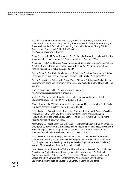Scott-Little, Catherine, Sharon Lynn Kagan, and Victoria S. Frelow, "Creating the Conditions for Success with Early Learning Standards: Results from a National Study of State-Level Standards for Children's Learning Prior to Kindergarten," *Early Childhood Research and Practice*, Vol. 5, No. 2, Fall 2003. http://ecrp.uiuc.edu/v5n2.little.html

Snow, Catherine E., M. Susan Burns, and Peg Griffin, eds., *Preventing reading difficulties in young children*. Washington, DC: National Academy of Sciences, 1998.

Strommen, Linda T. and Barbara Fowles Mates, *What Readers Do: Young Children's Ideas About the Nature of Reading from the Reading Teacher*, Vol. 51, No. 2, International Reading Association, October 1997, pp. 98-107.

Tabors, Patton O., One Child, *Two Languages: A Guide for Preschool Educators of Children Learning English as a Second Language*. Baltimore, MD: Brookes Publishing, 1997.

Tabors, Patton O. and Catherine E. Snow, "Young Bilingual Children and Early Literacy Development," *Home and Community Influences*, New York, NY, Guilford Press, 2001, pp. 160-176.

"Two Language Spoken Here." Talaris Research Institute, http://www.talaris.org/spotlight\_bilingual.htm

Valdés, G., "The world outside and inside schools: Language and immigrant children," *Educational Researcher*, Vol. 27, No. 6, 1998, pp. 4-18.

Wong Fillmore, Lily, "When Learning a Second Language Means Losing the First," *Early Childhood Research Quarterly*, Vol. 6, 1991, pp. 323-346.

Yaden, David and Danny Brassell, "Enhancing Emergent Literacy With Spanish-Speaking Preschoolers in the Inner City: Overcoming the Odds," *Comprehensive Reading Instruction Across the Grade Levels*. Cathy M. Roller (ed.), Newark, DE: International Reading Association, pp. 20-38, 2002.

Yaden, David B., Jesus Salazar, Danny Brassell, "The Impact of Spanish/English Language Emergent Literacy Activities During Preschool on First and Second Grade Achievement in English Language and Reading." Paper presentation at the Annual Meeting of the American Educational Research Association. Chicago, IL: 2003.

Yaden, David B., Patricia Madrigal, and Anamarie Tam, "Access to Books and Beyond: Creating and Learning From a Book Lending Program for Latino Families in the Inner City," *English Learners: Reaching the Highest Level of English Literacy* G. Garcia (ed), Newark, DE: International Reading Association, 2003.

Yaden, David, Robert Rueda, Tina Tsai, and Alberto Esquinca, "Issues in Early Childhood Education for English Learners: Language and Literacy Assessment, Professional Development and the Outcomes of Early Intervention," Chapter to appear in Bernard Spodek and Olivia Saracho, eds., *Contemporary Perspectives in Early Childhood Education*, Rossier School of Education, University of Southern California.

Page 54 NCLR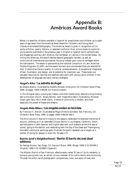# Appendix B: Américas Award Books

Below is a selection of books available in Spanish for preschoolers and children up to eight years of age taken from the Américas Book Award for Children's and Young Adult Literature annotated bibliography. The Américas Award is given in recognition of U.S. works of fiction, poetry, folklore, or selected nonfiction (from picture books to works for young adults) published in the previous year in English or Spanish which authentically and engagingly portray Latin America, the Caribbean, or Latinos in the United States. By linking the Americas, the award reaches beyond geographic borders, as well as multicultural-international boundaries, focusing instead upon cultural heritages within the hemisphere. The award is sponsored by the national Consortium of Latin American Studies Programs (CLASP), and the award winners and commended titles are selected for their 1) distinctive literary quality, 2) cultural contextualization, 3) exceptional integration of text, illustration, and design, and 4) potential for classroom use. These books are valuable resources for families and teachers who work with young Latino children in the development of language and early literacy strategies.

# **Angel's Kite /** *La estrella de Ángel*

By Alberto Blanco. Illustrated by Rodolfo Morales. Emeryville, CA: Children's Book Press, 1994. 32 pages. ISBN 0-89239-121-9 (picture book).

In this bilingual story, a young boy makes a kite that mysteriously restores a long-missing bell to the town church. Nicely fanciful, with imaginative fabric illustrations, the book draws upon daily life in small towns. A sense of community is evident, and most especially the power of hopes and dreams.

## **Angels Ride Bikes /** *Los ángeles andan en bicicleta*

By Francisco X. Alarcón. Illustrated by Maya Christina González. San Francisco, CA: Children's Book Press, 1999. 32 pages. ISBN 0-89239-160-X.

The third volume in Alarcón's tribute to the seasons celebrates his boyhood memories of autumn, growing up in an extended Chicano family in Los Angeles, California. Short, spirited poems in both Spanish and English deal with such subjects as the first day of school, going to the dentist, and celebrating both the Day of the Dead and Thanksgiving. González's whimsical paintings aptly illustrate the poet's repeated use of angels as a symbol of caring for people in one's life. (Grades 2-5)

## **Barrio: José's Neighborhood /** *Barrio: El barrio de José (dual editions)*

By George Ancona. San Diego, CA: Harcourt Brace, 1998. 48 pgs. ISBN 0-15-201049-1 (English) ISBN 0-15-201808-5 (Spanish).

The Mission District of San Francisco, affectionately called "*El barrio*" by its residents, is home to young José Luis, an active, curious member of his Latino family and community. Through the artful use of photographic compositions, color, and point of view, and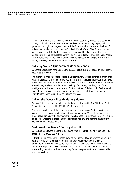through clear, fluid prose, Ancona shows the reader José's daily interests and pathways through *El barrio*. At the same time we see his community's history, hopes, and gatherings through the images of people of the Americas who have shaped the lives of today's community. In murals, we see Rigoberta Menchú Tum, César Chávez, children, and refugees embellished with messages of strength and freedom; we see teachers assisting children and artists leading families in song and play. Across the pages, Ancona teaches readers to see the abiding commitment to a place and its people that makes *El barrio*, and every community, home. (Grades 1-5).

#### **Birthday Swap /** *¡Qué sorpresa de cumpleaños!*

By Loretta López. New York: Lee & Low, 1997. 32 pages. ISBN 1-880000-47-4 (English) 1- 880000-55-5 (Spanish) (K-3).

The author-illustrator Loretta López tells a personal story about a surprise birthday swap with her teenage sister when Loretta was six years old. The surprise allows her to have a memorable celebration in the summer instead of December. The text and the illustrations are well integrated and provide a warm retelling of a birthday that is typical of the multigenerational events characteristic of Latino culture. This is a book of value for all elementary classrooms to provide authentic experiences about diverse cultures in the United States. Spanish and English editions available.

## **Calling the Doves /** *El canto de las palomas*

By Juan Felipe Herrera. Illustrated by Elly Simmons. Emeryville, CA: Children's Book Press, 1995. 32 pages. ISBN 0-89239-132-4 (picture book).

The author recalls his childhood in the mountains and valleys of California with his farmworker parents who inspired him with poetry and song. Through the poetics of memories and imagery, the story powerfully evokes good things remembered in a migrant childhood. Engaging illustrations echo of magical realism, and a strong sense of family and community suffuses the story.

#### **Carlos and the Skunk /** *Carlos y el zorrillo*

By Jan Romero Stevens. Illustrated by Jeanne Arnold. Flagstaff: Rising Moon, 1997. 32 pages. ISBN 0-87358-591-7 (K-3).

In this bilingual book, Carlos tries to show off for his friend Gloria by catching a skunk, getting more than he bargained for. His less-than-wise decision does create an embarrassing and stinky predicament for him, but his ability to remain levelheaded and resourceful helps him solve his problem, at least temporarily. His father provides the more lasting resolution while also allowing Carlos the opportunity to acknowledge his mistake gracefully.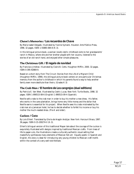## **Chave's Memories /** *Los recuerdos de Chave*

By María Isabel Delgado. Illustrated by Yvonne Symank. Houston: Arte Público Press, 1996. 32 pages. ISBN 1-55885-084-8 (K-3).

In this bilingual picture book, a woman recalls idyllic childhood visits to her grandparents' ranch in Mexico, where she and her brother played with her cousins, listened to the stories of an old ranch hand, and enjoyed other simple pleasures.

## **The Christmas Gift /** *El regalo de navidad*

By Francisco Jiménez. Illustrated by Claire B. Cotts. Houghton Mifflin, 2000. 32 pages. ISBN 0-395-92869-9.

Based on a short story from *The Circuit: Stories from the Life of a Migrant Child* (Houghton Mifflin, 1999), this bilingual picture book centers on one particular Christmas memory from the author's childhood in which his parents found a way to help another family even more destitute than theirs. (Grades K-3)

#### **The Crab Man /** *El hombre de Los cangrejos (dual editions)*

By Patricia E. Van West. Illustrated by Cedric Lucas. New York: Turtle Books, 1998. 32 pages. ISBN 1-890515-08-6 (English) 1-890515-09-4 (Spanish).

Neville sells crabs to the crab man in order to buy his mother a new dress. His father, who works in the cane plantation, brings home very little money and the dollar that Neville earns is essential for his project. When Neville sees his crabs mistreated by the crab man at a Jamaican hotel, he has to decide whether to forfeit his income or buy his mother the much-needed dress. (Pre-K and older).

#### **Cuckoo /** *Cucu*

By Lois Ehlert. Translated by Gloria de Aragón Andújar. New York: Harcourt Brace, 1997. 36 pages. ISBN 0-15-200274-X (K-3).

Ehlert's bilingual version of this traditional Mayan tale about the courage of the cuckoo is exquisitely illustrated with designs inspired by traditional Mexican crafts. From trees of life to paper-cuts, the illustrations create a culturally authentic visual setting that masterfully synthesizes many elements of Mexican folk art. Equally poetic in Spanish and English, this story is ideal for introducing very young children to Mexican craft motifs within the context of a very well-told folktale.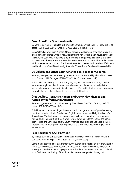#### **Dear Abuelita /** *Querida abuelita*

By Sofía Meza Keane. Illustrated by Enrique O. Sánchez. Crystal Lake, IL: Rigby, 1997. 24 pages. ISBN 0-7635-3156-1 (English) 0-7635-3155-3 (Spanish) (K-3).

Marco's family moves from Yucatán, Mexico to San José, California a few days before his eighth birthday. Marco writes to his *Abuelita* telling her about his new house, school, and the city's big buildings. He also tells her he misses the happiness and noise of the farm, his horse, and his dog, Pinto. But what he misses most are the stories his grandma would tell him before he went to bed. The illustrations extend the text with details of life in both worlds, which are "as different as night and day." Spanish and English editions available.

#### *De Colores* **and Other Latin America Folk Songs for Children**

Selected, arranged, and translated by Jose-Luis Orozco. Illustrated by Elisa Kleven. New York: Dutton, 1994. 56 pages. ISBN 0-525-45260-5 (picture music book).

A fine collection of songs with Spanish lyrics, English translation, and background on each song's origin and description of related games (so children can actually do the appropriate gestures or games). Rich in color and life, the illustrations are marvelous and culturally full of artifacts, diverse faces, and beautiful borders.

#### *Diez deditos* **/ Ten Little Fingers and Other Play Rhymes and Action Songs from Latin America**

Selected by José-Luis Orozco. Illustrated by Elisa Kleven. New York: Dutton, 1997. 56 pages. ISBN 0-525-45736-4 (K-3).

This bilingual collection of finger rhymes and action songs from many Spanish-speaking countries includes lyrics in Spanish and English, music scores, and bright and colorful illustrations. The background notes and simple pictographs showing body movements will aid adults in presenting these playful rhymes to young children. Songs and games from Mexico, the Caribbean, several South American countries, and Spain are included. Kleven's illustrations capture the imagination and create a rich visual setting to share with children.

#### *Feliz nochebuena, feliz navidad*

By Maricel E. Presilla. Pictures by Ismael Espinosa Ferrer. New York: Henry Holt and Company, 1994. 32 pages. ISBN 0-8050-2512-X (picture book).

Combining history and her own memories, the author takes readers on a culinary journey to the Caribbean (especially Cuba) at Christmas time. The book combines history with memory and food as it connects people in Miami and the Caribbean. Emphasis is placed upon family and the sharing of traditions. Recipes are incorporated throughout.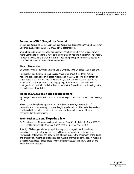# **Fernando's Gift /** *El regalo de Fernando*

By Douglas Keister. Photographs by Douglas Keister. San Francisco: Sierra Club Books for Children, 1995. 32 pages. ISBN 0-87156-414-9 (picture book).

Young Fernando, who lives in the rainforest of Costa Rica with his family, goes with his friend Carmina to look for her favorite climbing tree, only to find it cut down. As a result, he decides to give her a gift for the future. The photographs particularly give a sense of rural family life and of the rainforest environment.

#### **Fiesta Fireworks**

By George Ancona. New York: Lothrop, Lee & Shepard, 1998. 24 pages. ISBN 0-688-14817.

In a burst of colorful photographs, George Ancona has brought to life the festival honoring the patron saint of Tultepec, Mexico, San Juan de Dios. The story centers on Caren Rayes Urbán, the daughter and niece of pyrotechnists who is swept up into the activities of preparing for the *fiesta*. Step by step, the author describes, with vivid photographs and text, all that is involved in making the fireworks and participating in the dramatic event. (K and older).

#### **Fiesta U.S.A. (Spanish and English editions)**

By George Ancona. New York: Lodestar, 1995. 48 pages. ISBN 0-525-67498-5 (photo essay)  $(7-10)$ .

These outstanding photographs and text include an interesting cross-section of celebrations, with both widely known and regional celebrations. The reader learns about traditions both brought and adopted, and closes the book with a sense of having participated in the celebration.

## **From Father to Son /** *De padre a hijo*

By Patricia Almada. Photographs by Marianno de López. Crystal Lake, IL: Rigby, 1997. 32 pages. ISBN 0-7635-3133-2 (English) 0-7635-3132-4 (Spanish) (Grades K-3).

A family of bakers, *panaderos*, going all the way back to Nayarit, Mexico and now established in Los Angeles, shares their tradition in this wonderfully simple book. Photographs of father and son showing the different steps in the preparation of the dough and a variety of different kinds of breads add valuable information to the text. A map and a page of sweet bread riddles create opportunities for discussion and fun. Spanish and English editions available.

> Page 59 NCLR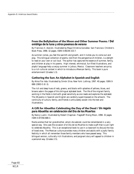#### **From the Bellybutton of the Moon and Other Summer Poems /** *Del ombligo de la luna y otros poemas de verano*

By Francisco X. Alarcón. Illustrated by Maya Christina González. San Francisco: Children's Book Press, 1998. 32 pages. ISBN 0-89239-153-7.

As summer comes, you feel the warmth and growth, and it invites you to come out and play. This bilingual collection of poems, told from the perspective of children, is a delight to read on your own or out loud. The author has captured the essence of summer, family, and children at play in his poems. High interest, whimsical, fun-filled illustrations, and playful language help us enjoy summer in Jalisco, Mexico. Classroom teachers are privy to a rich cultural context in which to introduce a Mexican family. This book is pure entertainment! (Grades 1-3).

#### **Gathering the Sun: An Alphabet in Spanish and English**

By Alma Flor Ada. Illustrated by Simón Silva. New York: Lothrop, 1997. 40 pages. ISBN 0- 688-13903-5 (K-3).

The rich and deep hues of reds, greens, and blacks with splashes of yellows, blues, and browns adorn the pages of this bilingual alphabet book. The life of the migrant family working in the fields is told with great sensitivity as one reads and explores the alphabet. The 28 poems in Spanish and English are carefully superimposed on the artwork. The continuity of culture, family, and friends is articulately woven into the text and illustrations.

#### **A Gift for Abuelita: Celebrating the Day of the Dead /** *Un regalo para Abuelita: en celebración del Día de los Muertos*

By Nancy Luenn. Illustrated by Robert Chapman. Flagstaff: Rising Moon, 1998. 32 pages. ISBN 0-87358-688-3.

Rosita wishes that her grandmother, whom she adored, could be remembered in a very special way. She uses the occasion of el *Día de los Muertos* to make a gift that is just right to celebrate *Abuelita*. This is an exceptional book to use in a classroom to discuss the loss of loved ones. The Mexican culture provides many children and adults with a joyful family festivity in which all remember those family members who have passed away. This bilingual version, culturally rich illustrations, and poignant story will appeal to children in a personal way. (Grades 2-5).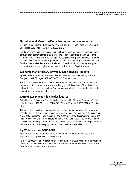#### **Grandma and Me at the Flea /** *Los meros meros remateros*

By Juan Felipe Herrera. Illustrated by Anita DeLucio-Brock. San Francisco: Children's Book Press, 2002. 32 pages. ISBN 0-89239-171-5.

Sunday mornings bustle with excitement as Juanito plays hide-and-seek, maneuvering through the flea market that is his playground. Juanito serves as grandma's courier, running from stand to stand, delivering bartered goods that grandma shares with other vendors. Herrera offers a tender, poetic story culled from his early childhood memories of fun-filled flea market days spent with *abuelita*. The vivid colorful illustrations aptly capture the sounds and sights of the flea market from a child's point of view.

#### **Grandmother's Nursery Rhymes /** *Las nanas de Abuelita*

By Nelly Palacio Jaramillo. Illustrated by Elivia Savadier. New York: Henry Holt and Company, 1994. 32 pages. ISBN 0-8050-2555-3 (picture book).

The author, who was born in Colombia, collected these lullabies, tongue twisters, and riddles from South America to share after her grandchild was born. The collection is noteworthy for its efforts to include English versions, which become wholly different but often play just as strongly in translation.

## **I Am of Two Places /** *Soy de dos lugares*

Edited by Mary Carden and Mary Cappellini. Illustrated by Christina González. Crystal Lake, IL: Rigby, 1997. 16 pages. ISBN 0-7635-3161-8 (English) 0-7635-3160-X (Spanish)  $(K-3)$ .

This collection of poetry is composed by five Latino children, ages eight to eleven who describe their pride and frustrations in speaking two languages and loving the people and places of two cultures. Their metaphors and experiences provide compelling images and ideas for engaging children in discussion and writing. González's illustrations combine bold symbols and bright, warm images of children and adults which could inspire children to illustrate their own poetry. Spanish and English editions available.

#### **Icy Watermelon /** *Sandía fría*

By Mary Sue Galindo. Illustrated by Pauline Rodríguez Howard. Piñata Books/Arte Público, 2000. 32 pages. ISBN 1-55885-306-5.

As three generations of a Mexican American family share a watermelon on the front porch, *Abuelo and Abuela* recount the amusing story of how they first met when a watermelon fell off the back of a truck. (Grades K-2)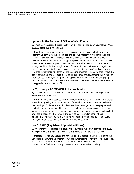#### **Iguanas in the Snow and Other Winter Poems**

By Francisco X. Alarcón. Illustrations by Maya Christina González. Children's Book Press, 2001. 32 pages. ISBN 0-89239-168-5.

In their final collection of seasonal poetry, Alarcón and González celebrate winter in Northern California. With bilingual text and colorful images they frolic over the beach, through the city of San Francisco, a mission, a cable car, the harbor, and the ancient redwood forests of the Sierra. In the typical upbeat fashion readers have come to enjoy in Alarcón's earlier seasonal poetry, the writer honors families, neighborhoods, schools, holidays, and the talent of being bilingual. The warmth that poet Alarcón brings to the wintry slices of everyday life for children is rivaled only by González's exuberant artwork that enfolds his words. "Children are the blooming branches of trees," he proclaims at the book's conclusion, and González plants smiling children, proudly standing tall in front of snow-covered sequoias, young growth juxtaposed with ancient giants. This engaging collection offers children the opportunity to grow in their experience with poetry, both in the appreciation and creation of it.

#### **In My Family /** *En mi familia* **(Picture book)**

By Carmen Lomas Garza. San Francisco: Children's Book Press, 1996. 32 pages. ISBN 0- 89239-138-3 (K and older).

In this bilingual picture book celebrating Mexican American culture, Lomas Garza shares memories of growing up in her hometown of Kingsville, Texas, near the Mexican border. Her paintings of children and adults playing and working together as they prepare food, celebrate life events, and mend ills enable readers to understand constancy and change among family and friends. The author's narratives are told as first-person reflections that often add dialogue or other layers to the story being conveyed in her paintings. Truly for all ages, this companion to *Family Pictures* will be an important addition to any study of family, community, personal storytelling, or narrative painting.

#### **Isla /** *La isla* **(English and Spanish editions)**

By Arthur Dorros. Illustrated by Elisa Kleven. New York: Dutton Children's Books, 1995. 40 pages. ISBN 0-525-45422-5 (Spanish) 0-525-45149-8 (English) (picture book).

In this sequel to *Abuela*, Rosalba and her grandmother take an imaginary journey to the Caribbean island where her mother grew up and where some of her family still lives. They have another adventure, this one full of island-life detail. Overall, this is a warm presentation of family and the magic power of imagination and storytelling.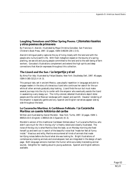# **Laughing Tomatoes and Other Spring Poems /** *Jitomates risueños y otros poemas de primavera*

By Francisco X. Alarcón. Illustrated by Maya Christina González. San Francisco: Children's Book Press, 1997. 32 pages. ISBN 0-89239-139-1 (3-5).

Alarcón's bilingual poetry captures the joy of living closely with the land and with the people who nurture earth's life. With fresh metaphors based on the bounty of a spring planting, we see old and young people committed to the land and to the well-being of farm workers. Gonzalez's illustrations complement and extend the high spirits and deep connections that Alarcón expresses throughout this collection.

# **The Lizard and the Sun /** *La largartija y el sol*

By Alma Flor Ada. Illustrated by Felipe Dávalos. New York: Doubleday Dell, 1997. 40 pages. ISBN 0-385-32121-X (K-3).

This *porquoi* tale, set in ancient Mexico, uses playful repetition in language and plot to engage readers in the story of a tenacious lizard who continues her search for the sun while all other animals gradually stop looking. Lizard finds the sun but must make several journeys into the city to confer with the emperor who eventually assists the lizard in awakening a very sleepy sun. The richly-colored, detailed illustrations depict Aztec people and the central Mexican landscape with respect and warmth. Davalos' rendering of the emperor is especially gentle and wry. Spanish and English narratives appear side by side throughout the book.

# **La Cucaracha Martina: A Caribbean Folktale /** *La Cucaracha Martina: un cuento folklórico del caribe*

Written and illustrated by Daniel Moretón. New York: Turtle, 1997. 32 pages. ISBN 1- 890515-03-5 (English) 1-890515-04-3 (Spanish) (K-3).

Moretón's version of this traditional Caribbean folktale about "La Cucaracha Martina, who didn't care much for life in the big city" is freshly retold and cleverly illustrated. The noise of the big city is what Martina likes the least, so on Monday morning she fixed herself up and went out in search of the beautiful noise that "made her feel all funny inside." Vivacious and witty, Martina encountered all kinds of animals that made terrifying noises before she found what she was looking for. Bright illustrations of contemporary-looking animals and onomatopoeic text are integrated in the design of each page. Both language versions maintain the humor while accurately translating animal sounds. Delightful for reading aloud to young audiences. Spanish and English editions available.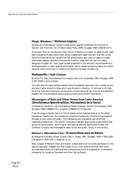## **Magic Windows /** *Ventanas mágicas*

Written and illustrated by Carmen Lomas Garza. Spanish translation by Francisco X. Alarcón. San Francisco, CA: Children's Book Press, 1999. 32 pages. ISBN 0-89239-157-X.

As we learn from an introductory note, the art of Mexican cut paper, or *papel picado*, goes back thousands of years when Aztec artists created bark paper banners. Carmen Lomas Garza first learned the art herself from her grandmother who used cut paper to create embroidery designs, and she continues the tradition today with her own intricately designed cut-paper art. Each *papel picado* presented in this volume is accompanied by a brief explanation, in both Spanish and English, which reveals something about the artist's personal history and how it's linked to her Mexican heritage. (Grades 3-8)

## *Mediopollito* **/ Half-Chicken**

By Alma Flor Ada. Illustrated by Kim Howard. New York: Doubleday, 1995. 40 pages. ISBN 0-385-32044-2 (picture book).

This well-done bilingual folktale explains why the weather vane has a little rooster on one end which spins around to show which way the wind is blowing. In contrast to the Ugly Duckling, here the unique and unlike-others chicken becomes vain from all the attention! Readers will find themselves exploring the unusual and brilliant illustrations.

## **Messengers of Rain and Other Poems from Latin America** *(Simultaneous Spanish edition: Mandaderos de la lluvia)*

Compiled by Claudia M. Lee. Illustrated by Rafael Yockteng. Toronto: Groundwood, 2002. 80 pages. ISBN 0-88899-470-2 (English) 0-88899-471-0 (Spanish).

From Nicaragua's Rubén Darío, to Chile's Nobel winner Gabriela Mistral, to the gifted Salvadoran Claudia Lars, this handsome collection of poems for children brings together the best of Latin America's poets. The translations are impressive, garnered from respected professionals. The colorful illustrations delight, gracing the broad themes that group the various poets. Both English and Spanish editions belong side by side; this collection is highly recommended for every school and public library in the country.

# **Mexico's Marvelous Corn /** *El maravilloso maíz de México*

By Margarita González-Jensen. Crystal Lake, IL: Rigby, 1997. 16 pages. ISBN 0-7635-3182- 0 (English) 0-7635-3181-2 (Spanish) (K-3).

Maíz, a staple of Mexican meals and snacks, is described in all its variety and flavors in this easy-to-read book. Readers will find a feast of corn, from atole to tortillas, with brief, accurate descriptions of traditional and contemporary forms of preparation. A wonderful companion to *Laughing Tomatoes and Other Spring Poems*.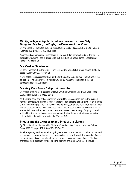# *Mi hija, mi hijo, el águila, la paloma: un canto azteca* **/ My Daughter, My Son, the Eagle, the Dove: An Aztec Chant**

By Ana Castillo. Illustrated by S. Guevara. Dutton, 2000. 48 pages. ISBN 0-523-45867-0 (Spanish) ISBN 0-525-45856-2 (English).

Ancient and contemporary elements are nicely blended in both text and illustrations in these attractive small books designed to instill cultural values and inspire adolescent readers. (Grades 6-9)

## **My Mexico /** *México mío*

By Tony Johnston. Illustrated by F. John Sierra. New York: G.P. Putnam's Sons, 1996. 36 pages. ISBN 0-399-22275-8 (K-3).

A love of Mexico is expressed through the gentle poetry and dignified illustrations of this collection. The author lived in Mexico City for 15 years; the illustrator is secondgeneration Mexican-American.

# **My Very Own Room /** *Mi propio cuartito*

By Amada Irma Pérez. Illustrated by Maya Christina González. Children's Book Press, 2000. 32 pages. ISBN 0-89239-164-2.

As the eldest child and only daughter in a large Mexican-American family, the spirited narrator of this joyful bilingual story longs for a little space to call her own. With the help of her *mamá* and *papá*, her *Tío* Pancho, and her five younger brothers, she's able to fix up a small bedroom for herself in a storage closet. And as soon as she has everything just as she wants it, she invites her brothers in so she can read them a story. Brightly colored, stylized illustrations enhance the exuberance of the text in a story that communicates both individuality and family solidarity. (Grades K-3)

# *Prietita* **and the Ghost Woman /** *Prietita y la Llorona*

By Gloria Anzaldúa. Illustrated by Christina González. San Francisco: Children's Book Press, 1996. 32 pages. ISBN 0-89239-136-7 (K-3).

Prietita, a young Mexican American girl, goes in search of an herb to cure her mother and encounters *La Llorona*. Rather than the negative image with which the legendary figure has traditionally been associated, here *La Llorona* is a compassionate figure. The two characters work together, symbolizing the strength of Chicana women. (Bilingual)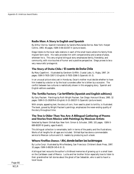## **Radio Man: A Story in English and Spanish**

By Arthur Dorros. Spanish translation by Sandra Marulanda Dorros. New York: Harper Collins. 1993. 40 pages. ISBN 0-06-021547-X (picture book).

Diego listens to the local radio stations in each of the small towns where his family finds migrant farm work. His radio provides him with companionship and a sense of place, wherever he is. This very original bilingual story emphasizes family, friendship, and community, with nice touches of humor and a positive perspective. Diego proves to be a very resourceful protagonist.

## **The Story of Doña Chila /** *El cuento de Doña Chila*

By Mary Capellinni. Illustrated by Gershom Griffith. Crystal Lake, IL: Rigby, 1997. 24 pages. ISBN 0-7635-3267-3 (English) 0-7635-3266-5 (Spanish) (K-3).

In an unusual picture story set in Honduras, Oscar's mother must decide whether to have him treated by a doctor or by the local *curandera* after he is bitten by a scorpion. The conflict between two cultures is realistically shown in this engaging story. Spanish and English editions available.

## **The Tortilla Factory /** *La tortillería* **(Spanish and English editions)**

By Gary Paulsen. Paintings by Ruth Wright Paulsen. San Diego: Harcourt Brace, 1995. 32 pages. ISBN 0-15-292876-6 (English) 0-15-200237-5 (Spanish) (picture book).

With simple, appealing text, the story of corn, from seed to plant to *tortilla*, is illustrated. The book, graced by Wright Paulsen's paintings, emphasizes the never-ending quality of the story throughout time.

## **The Tree is Older Than You Are: A Bilingual Gathering of Poems and Stories from Mexico with Paintings by Mexican Artists**

Selected by Naomi Shihab Nye. New York: Simon & Schuster, 1995. 101 pages. ISBN 0- 689-80297-8 (poetry, ages 8-adult).

This bilingual collection is remarkable, both in terms of the poetry and the illustrations. Works of all lengths for all ages are included. Shihab Nye has done a commendable service to Mexican culture and U.S. readers by producing such a book.

## **Where Fireflies Dance /** *Ahí, donde bailan las luciérnagas*

By Lucha Corpi. Illustrated by Mira Reisberg. San Francisco: Children's Book Press, 1997. 32 pages. ISBN 0-89239-145-6 (K-3).

A bilingual text recounts the author's childhood memories of growing up in a small town on the Caribbean coast of Mexico. Lucha and her brother Victor especially love to listen to their grandmother tell stories about the ghost of San Sebastián, who is said to haunt a local house.

Page 66 NCLR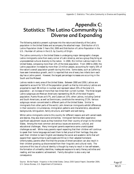# Appendix C: Statistics: The Latino Community is Diverse and Expanding

The following statistics present a glimpse into the nature and diversity of the Latino population in the United States and accompany the attached maps: *Distribution of U.S. Latino Population Under 5 Years Old, 2000* and *Distribution of Latino Population in the U.S. / Number of Latinos in the U.S. by Country of Origin.* 

The Latino community in the United States is undergoing major demographic changes. Latino immigrants come from every corner of Latin America, and as a group they bring an unprecedented cultural diversity to the nation. In 2000, 35.2 million Latinos lived in the United States, composing more than 12% of the total population. From 1990 to 2000, the Latino population increased by more than 13 million people, accounting for nearly 33% of the nation's overall population growth during this time. Some states, such as California, have seen tremendous growth, and it is reported that one of every two infants born each day has a Latino parent. However, the largest percentage increases are occurring in the South and the Midwest.

Latinos reside in every area of the United States. Between 2000 and 2050, Latinos are expected to account for 51% of the population growth so that by mid-century Latinos are projected to reach 98 million in number and represent about 25% of the total U.S. population – an increase of more than two times their current number. The three largest Latino subgroups are Mexican Americans representing 59.3% of the total Hispanic population, Puerto Ricans at 9.7%, and Cubans at 3.5%; other Latinos, including Central and South Americans, as well as Dominicans, constitute the remaining 27.5%. Various subgroups remain concentrated in different parts of the United States. Similar to immigrants from other parts of the world, Latin American immigrants exhibit differences in their economic circumstances, immigration patterns and characteristics, educational backgrounds, bilingualism, family structure, and health and well-being.

While Latino immigrants come to this country for different reasons and with varied needs and desires, they also share some similarities. Immigrant families often experience significant adjustment issues as they transition from their country of origin to the United States. Among the most common and serious issues are economic, cultural, and educational challenges. Many immigrant parents experience some unanticipated challenges as well. While many parents report expecting that their children will continue to speak their home language and want them to feel proud of their heritage, they also want their children to learn English and develop the social and academic skills that will expand their opportunities to participate and thrive in their adopted homeland. Unfortunately, parents often find that the process of Americanization can also result in their children growing up disconnected from their linguistic and cultural roots. The outcome of this loss of cultural identity is thought by many to result in low self-esteem, the formation of unhealthy identities, inadequate exposure to early literacy activities and reading, and low academic achievement. Family disruption is also a very real consequence.

Source: *We the People: Hispanics in the United States, Census 2000 Special Report*, December 2004, U.S. Census Bureau, U.S. Department of Commerce.

Page 67 NCLR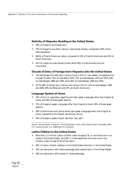# **Nativity of Hispanics Residing in the United States**

- ✎ 40% of Hispanics are foreign-born.
- ✎ 70% of Hispanics are either native or naturalized citizens, compared to 90% of the total population.
- ✎ 98.6% of Puerto Ricans are native, compared to 24% of Central Americans and 23% of South Americans.
- ✎ 41% of Cubans are naturalized citizens while 56% of Central Americans are noncitizens.

#### **Decade of Entry of Foreign-born Hispanics into the United States**

- The percentage of foreign-born Latinos living in the U.S. has steadily increased during the past 35 years: 10% arrived before 1970; 15% arrived between 1970 and 1979; 29% arrived between 1980 and 1990, while 46% arrived between 1990 and 2000.
- ✎ Of the 46% of foreign-born Latinos now living in the U.S. who arrived between 1990 and 2000, 49% are Mexicans and 47% are South Americans.

#### **Language Spoken at Home**

- ✎ 18% of the U.S. population aged five and older speak a language other than English at home, and 60% of these speak Spanish.
- ✎ 75% of Hispanics speak a language other than English at home; 99% of these speak Spanish.
- ✎ 90% of Dominicans and Central Americans speak a language other than English at home, representing the highest rate among Latinos.
- ✎ 40% of Hispanics speak English less than "very well."

Source: *We the People: Hispanics in the United States, Census 2000 Special Report*, December 2004, U.S. Census Bureau, U.S. Department of Commerce.

#### **Latino Children in the United States**

- ✎ More than 11.4 million Latino children under the age of 18, or more than one in six, reside in the United States. By 2020, it is estimated that more than one in five children under the age of 18 will be Latino.
- ✎ 60% of Latino children residing in the United States were born in the United States.
- ✎ 32% are native-born with native parentage (both parents born in the United States).
- ✎ 29% are native-born with foreign or mixed parentage.

Page 68 NCLR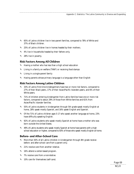- ✎ 65% of Latino children live in two-parent families, compared to 78% of White and 37% of Black children.
- ✎ 25% of Latino children live in homes headed by their mothers.
- ✎ 4% live in households headed by their fathers only.
- ✎ 28% live in poverty.

#### **Risk Factors Among All Children**

- ✎ Having a mother who has less than a high school education
- ✎ Living in a family on welfare (TANF) or receiving food stamps
- ✎ Living in a single-parent family
- ✎ Having parents whose primary language is a language other than English

#### **Risk Factors Among Latino Children**

- ✎ 33% of Latino first-time kindergartners have two or more risk factors, compared to 27% of their Black peers, 17% of their Asian/Pacific Islanders peers, and 6% of their White peers.
- ✎ 71% of children entering kindergarten from Latino families have one or more risk factors, compared to about 29% of those from White families and 61% from Asian/Pacific Islander families.
- ✎ 55% of Latino students in kindergarten through 5th grade speak mostly English at home, 28% speak mostly Spanish, and 16% speak English and Spanish.
- ✎ Of the 71% of Latino children ages 5-17 who speak another language at home, 23% have difficulty speaking English.
- ✎ 92% of Latino students who speak mostly Spanish at home have a mother who was born outside the United States.
- ✎ 49% of Latino students who speak mostly Spanish at home have parents with a high school education or higher, compared to 83% of those who speak mostly English at home.

## **Before- and After-School Care**

- ✎ More than 50% of all Latino children in kindergarten through 8th grade receive before- and after-school care from a parent only.
- ✎ 21% receive care from another relative.
- ✎ 16% attend a center-based program.
- ✎ 7% receive care from a nonrelative.
- ✎ 10% care for themselves (self-care).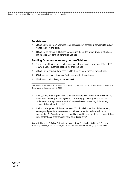#### **Persistence**

- ✎ 64% of Latino 18- to 24-year-olds complete secondary schooling, compared to 92% of Whites and 84% of Blacks.
- ✎ 44% of 16- to 24-year-old Latinos born outside the United States drop out of school, compared to 15% for first-generation Latinos.

#### **Reading Experiences Among Latino Children**

- ✎ The percent of Latino three- to five-year-olds who are read to rose from 53% in 1991 to 62% in 1993, but there has been no change since.
- ✎ 61% of Latino children have been read to three or more times in the past week
- ✎ 40% have been told a story by a family member in the past week
- ✎ 25% have visited a library in the past week.

Source: *Status and Trends in the Education of Hispanics*, National Center for Education Statistics, U.S. Department of Education, April 2003.

- ✎ "Five-year-old English-proficient Latino children are about three months behind their White peers in their pre-reading skills. This early gap – already wide at entry to kindergarten – is equivalent to 80% of the gap observed in reading skills among Latino children at fourth grade."
- ✎ "Latino kindergarten children score about 17 points below White children on early language and pre-literacy assessments (100-point scale, termed normal curve equivalents); 8-12 points of this gap could be erased if less-advantaged Latino children enter center-based programs early and attend regularly."

Source: Bridges, M., B. Fuller, R. Rumberger, and L. Tran, Preschool for California's Children: Promising Benefits, Unequal Access, PACE and UCLMRI Policy Brief 04-3, September 2004.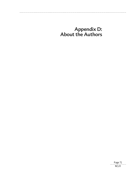# Appendix D: About the Authors

Page 71 NCLR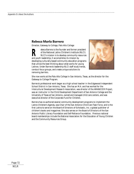# **Rebeca María Barrera**

Director, Gateway to College, Palo Alto College

**P**ebeca Barrera is the founder and former president of the National Latino Children's Institute (NLCI).<br>The NLCI's mission is to develop community resources and youth leadership; it accomplishes its mission by of the National Latino Children's Institute (NLCI). NLCI's mission is to develop community resources and youth leadership; it accomplishes its mission by developing culturally-based community education programs that utilize the best thinking about what works for young Latinos. Under Barrera's leadership NLCI staff study trends, conduct focus groups, and create unique solutions to removing barriers.



She now works at the Palo Alto College in San Antonio, Texas, as the director for the Gateway to College Program.

Barrera's professional work began as a high school teacher in the Edgewood Independent School District in San Antonio, Texas. She has an M.A. and has worked for the Intercultural Development Research Association, was director of the AMANECER Project, was an instructor in the Child Development Department of San Antonio College and the University of Texas at San Antonio, owned and managed child care centers, and was executive director of the Corporate Fund for Children.

Barrera has co-authored several community development programs to implement the Latino Children's Agenda, was Chair of the San Antonio Child Care Task Force, and is the first Latina to serve on the Board of Directors of Scholastic, Inc. a global publisher of children's books and magazines. She also serves on the Board of Directors of the San Antonio Public Library Foundation and Self-Reliance Foundation. Previous national board memberships include the National Association for the Education of Young Children and the Community Resources Group.

# Page 72 NCLR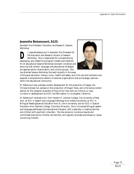# **Jeanette Betancourt, Ed.D.**

Assistant Vice President, Education and Research, Sesame Workshop

*D*r. Jeanette Betancourt is Assistant Vice President for the Education and Research division of Sesame Workshop. She is responsible for conceptualizing, developing, and researching program models and materials the Education and Research division of Sesame Workshop. She is responsible for conceptualizing, developing, and researching program models and materials for all educational Sesame Workshop Outreach initiatives and ensuring that content, language, and educational strategies are appropriate for diverse ethnic and cultural groups. She has directed Sesame Workshop Outreach projects in the areas



of bilingual education, literacy, music, health and safety, and child care and maintains and expands a comprehensive network of national organizations that are strategic partners within the educational community.

Dr. Betancourt also oversees content development for the production of Sagwa, *the Chinese Siamese Cat*, advises on the production of *Dragon Tales*, and is the series content advisor for the caregiver programs *A Place of Our Own* and *Los niños en su casa*, currently in development by KCET, the PBS station in Los Angeles, California.

Dr. Betancourt received a B.A. from Herbert H. Lehman College, City University of New York, an M.A. in Speech and Language Pathology from Hofstra University, an M.S. in Bilingual Reading/Special Education from St. John's University, and an Ed.D. in Special Education from Teachers College, Columbia University. She is a licensed bilingual speech and language pathologist and educational therapist, with a specialty in treating families and children with psychiatric disorders. She has served on numerous boards and committees that service children and families, and regularly provides workshops on issues concerning children.

> Page 73 NCLR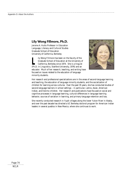# **Lily Wong Fillmore, Ph.D.**

Jerome A. Hutto Professor in Education Language, Literacy and Cultural Studies Graduate School of Education University of California, Berkeley

*L*ily Wong Fillmore has been on the faculty of the Graduate School of Education at the University of California, Berkeley since 1974. She is a linguist (Ph.D. in Linguistics, Stanford University, 1976) and an Graduate School of Education at the University of California, Berkeley since 1974. She is a linguist educator. Much of her research, teaching, and writing have focused on issues related to the education of language minority students.



Her research and professional specializations are in the areas of second-language learning and teaching, the education of language minority students, and the socialization of children for learning across cultures. Over the past 35 years, she has conducted studies of second-language learners in school settings – in particular, Latino, Asian, American Indian, and Eskimo children. Her research and publications have focused on social and cognitive processes in language learning, cultural differences in language learning behavior, sources of variation in learning, and primary-language retention and loss.

She recently conducted research in Yupik villages along the lower Yukon River in Alaska, and over the past decade has directed a UC Berkeley doctoral program for American Indian leaders in several pueblos in New Mexico, where she continues to work.

Page 74 NCLR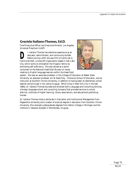# **Graciela Italiano-Thomas, Ed.D.**

Chief Executive Officer and Executive Director, Los Angeles Universal Preschool (LAUP)

*D*r. Italiano-Thomas has extensive experience as an educator, administrator, and community builder.<br>Familia de Utah, a nonprofit organization based in Salt Lake educator, administrator, and community builder. Before joining LAUP, she was CEO of Centro de la City, which works to strengthen the Hispanic family by promoting self-sufficiency. She also served as a senior consultant to the National Head Start Bureau on issues relating to English language learners within the Head Start



system. She was an associate professor in the College of Education at Weber State University, an assistant professor at Cal State Poly – Pomona's School of Education, and an instructor at Southern Illinois University, in addition to having been an elementary school teacher and principal in her native Uruguay. While living in New York City in the late 1980s, Dr. Italiano-Thomas founded and directed SoHo Language and Consulting Services, a foreign language school and consulting company that provided services to school districts, institutes of higher learning, library associations, and educational publishing houses.

Dr. Italiano-Thomas holds a doctorate in Education and Institutional Management from Pepperdine University and a master of sciences degree in education from Southern Illinois University. She received undergraduate degrees from Albion College in Michigan and the Instituto A. Vazquez Acevedo in Montevideo, Uruguay.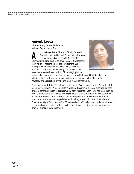# **Antonia Lopez**

Director, Early Care and Education, National Council of La Raza

**A**ntonia Lopez is the Director of Early Care and<br>
Is a senior member of the NCLR Center for<br>
Community Educational Excellence (C2E2). She leads the Education for the National Council of La Raza and is a senior member of the NCLR Center for team which is responsible for the development and management of early care and education services and activities. In this role, Lopez designs, administers, and evaluates projects aligned with C2E2's strategic plan to



expand educational opportunities for young Latino children and their families. In addition, she provides programmatic and technical support to the Office of Research, Advocacy, and Legislation (ORAL) and other NCLR components.

Prior to joining NCLR in 2003, Lopez served as the Vice President for the Parent Institute for Quality Education (PIQE), a California statewide community-based organization that provides parent education to approximately 32,000 parents a year. She has more than 20 years of senior program management experience in bilingual early childhood education, including Head Start and California state-funded programs. Lopez holds an M.Ed. in school administration with a specialization in bilingual education from the California State University of Sacramento (CSUS) and received its 1995 Distinguished Alumni Award. Lopez has been recognized by local, state, and national organizations for her work to promote bilingual early childhood.

# Page 76 NCLR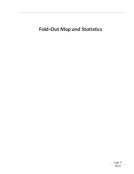# Fold-Out Map and Statistics

Page 77 NCLR